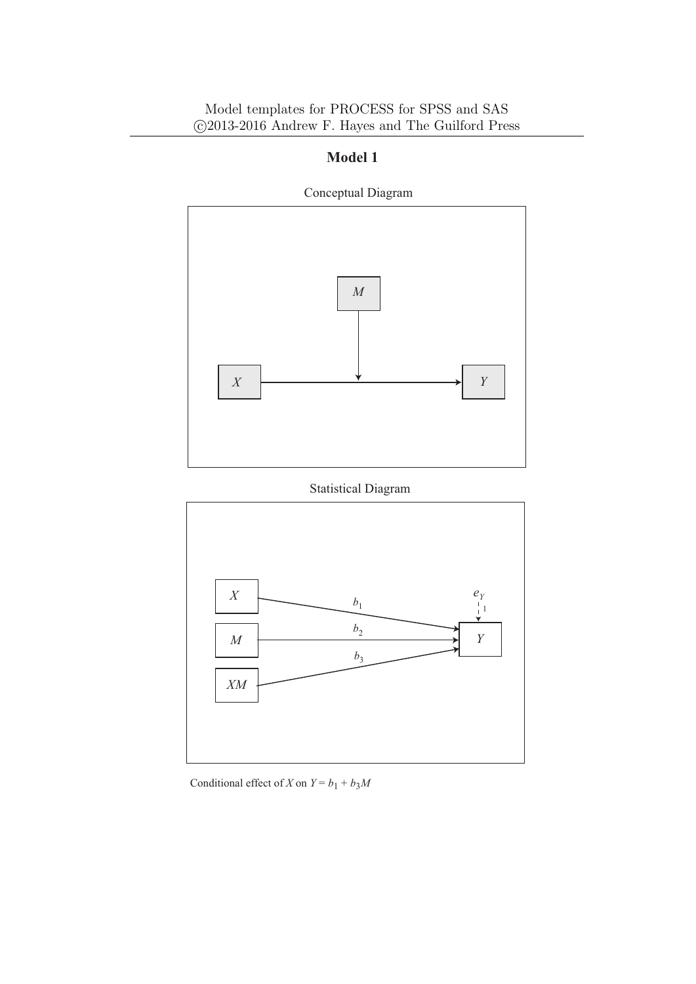

Conceptual Diagram

#### Statistical Diagram



Conditional effect of *X* on  $Y = b_1 + b_3M$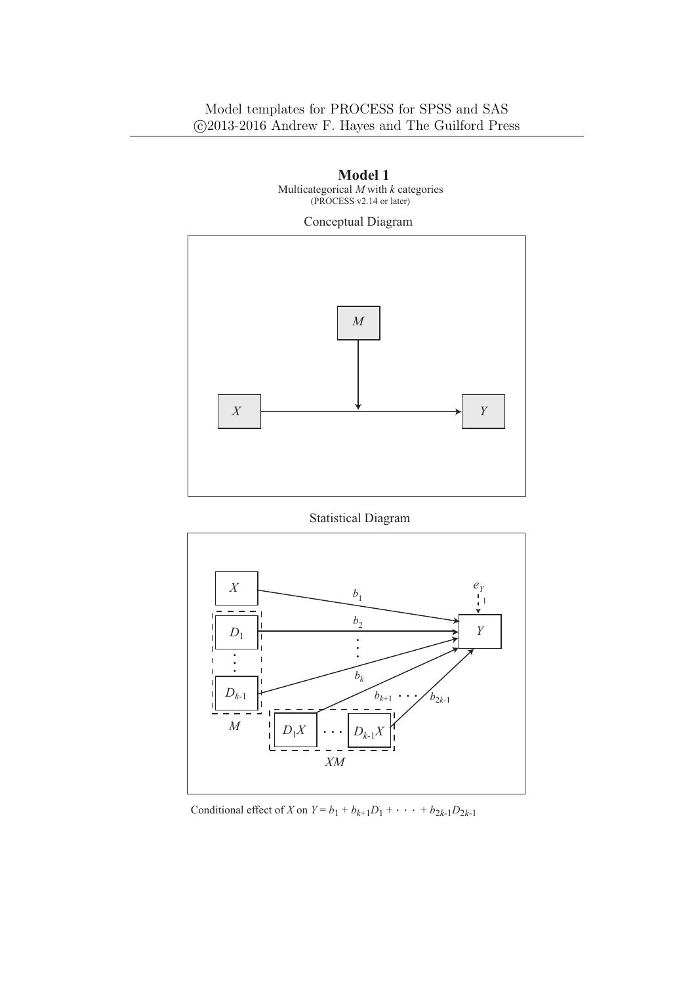#### Model templates for PROCESS for SPSS and SAS *⃝*c 2013-2016 Andrew F. Hayes and The Guilford Press



 **Model 1**  Multicategorical *M* with *k* categories

Statistical Diagram



Conditional effect of *X* on  $Y = b_1 + b_{k+1}D_1 + \cdots + b_{2k-1}D_{2k-1}$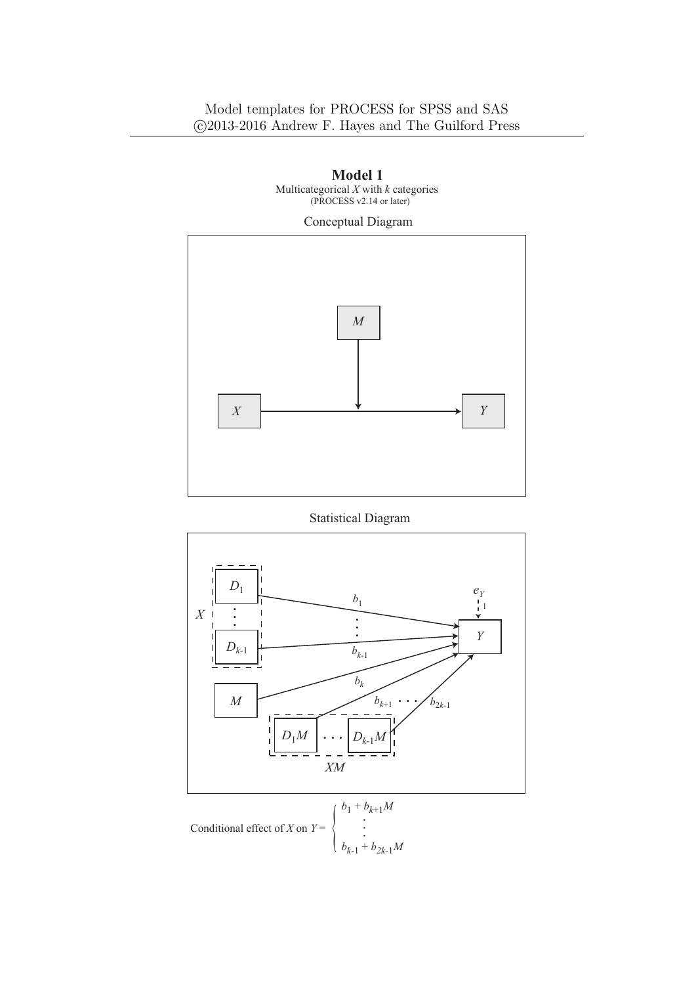

 **Model 1**  Multicategorical *X* with *k* categories

Statistical Diagram

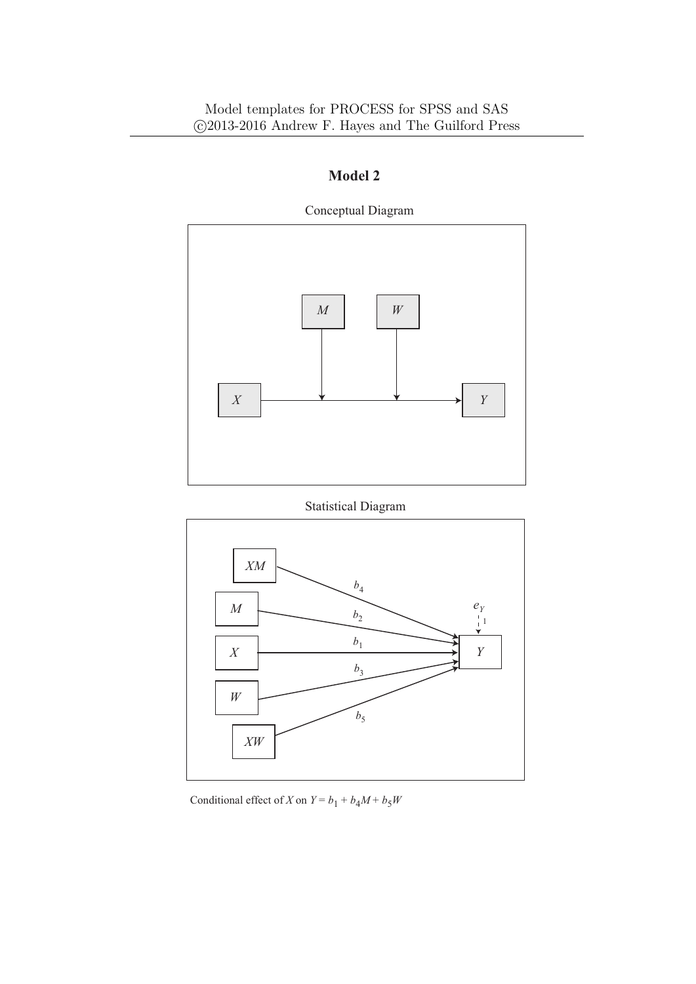

Conceptual Diagram

Statistical Diagram



Conditional effect of *X* on  $Y = b_1 + b_4M + b_5W$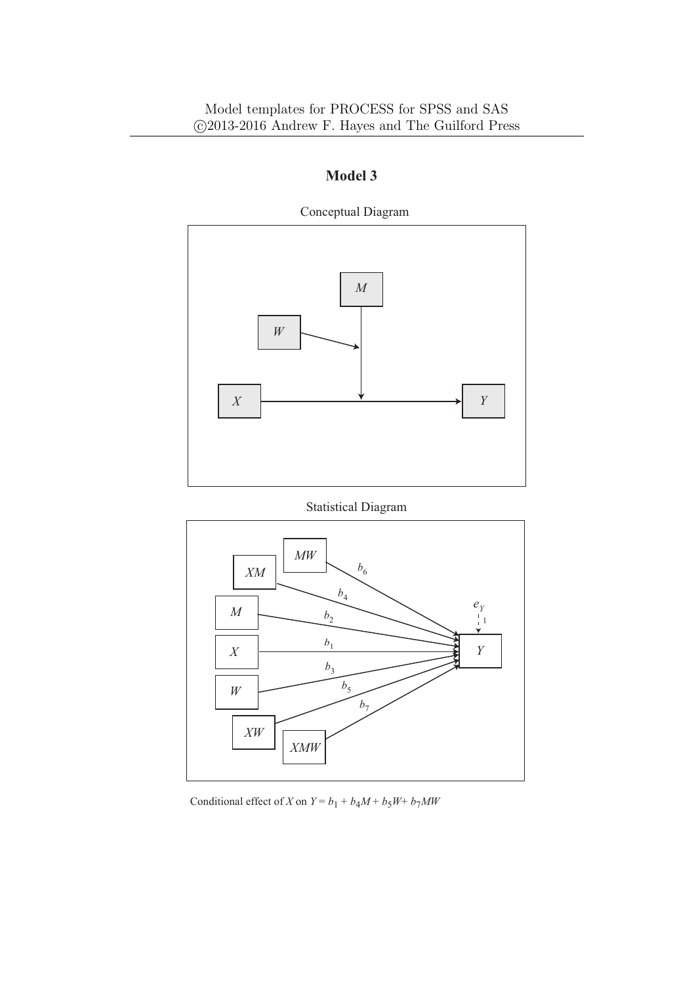

Statistical Diagram



Conditional effect of *X* on  $Y = b_1 + b_4M + b_5W + b_7MW$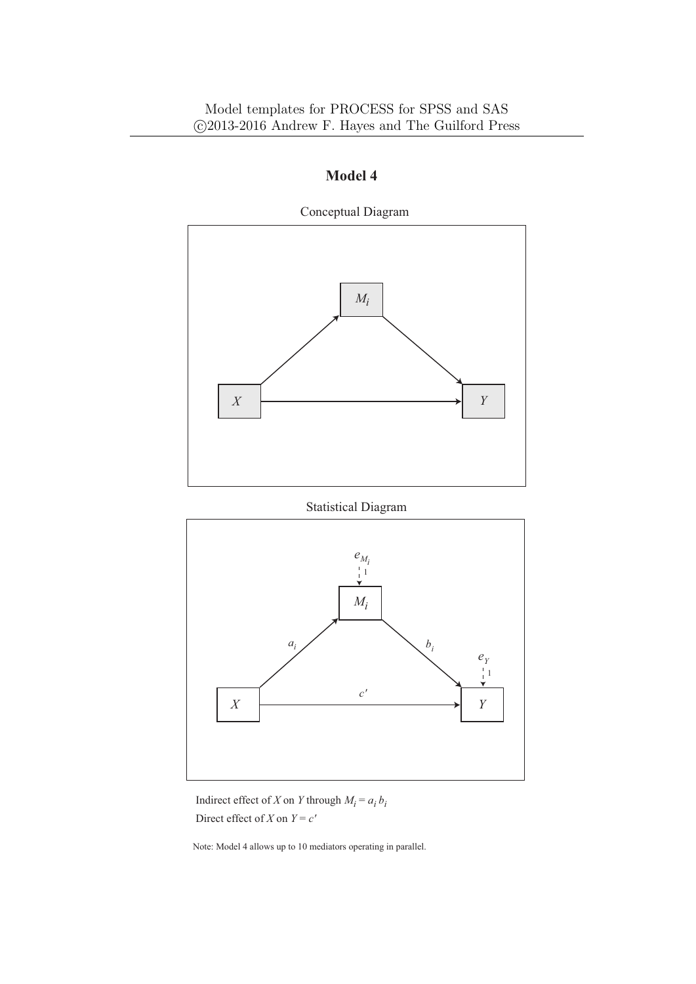

Statistical Diagram



Indirect effect of *X* on *Y* through  $M_i = a_i b_i$ Direct effect of *X* on  $Y = c'$ 

Note: Model 4 allows up to 10 mediators operating in parallel.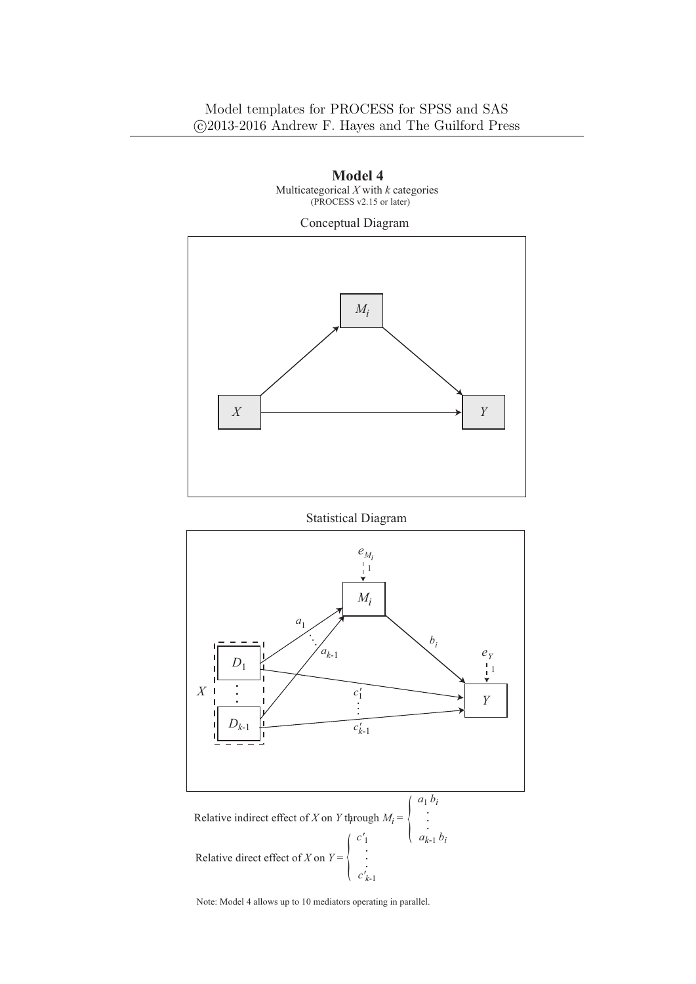

 **Model 4**  Multicategorical *X* with *k* categories

Statistical Diagram



Note: Model 4 allows up to 10 mediators operating in parallel.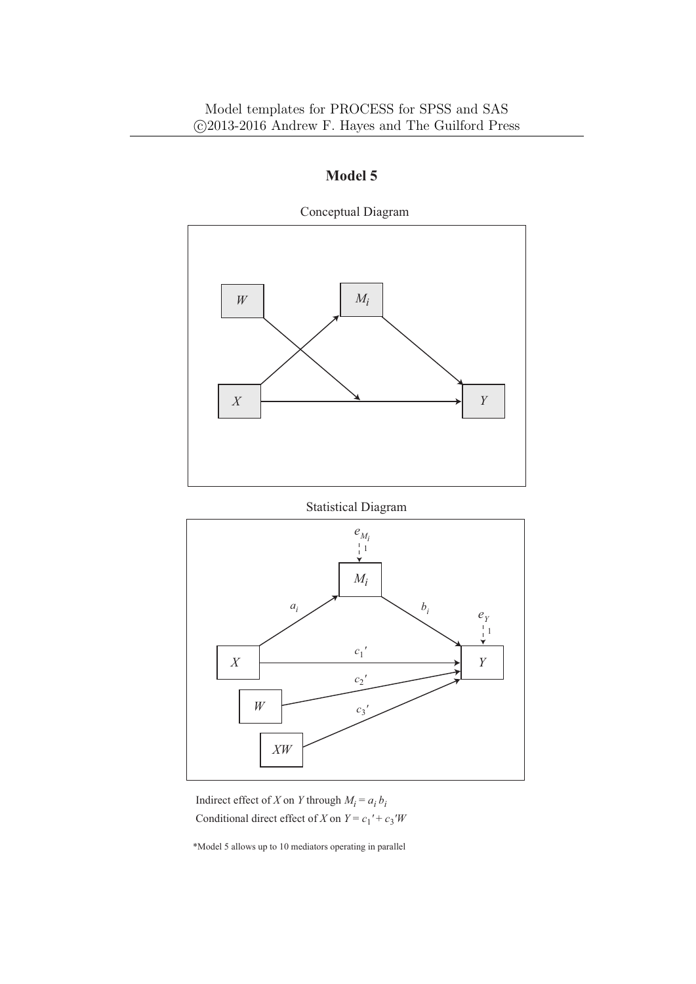

Statistical Diagram



Indirect effect of *X* on *Y* through  $M_i = a_i b_i$ Conditional direct effect of *X* on  $Y = c_1' + c_3'W$ 

\*Model 5 allows up to 10 mediators operating in parallel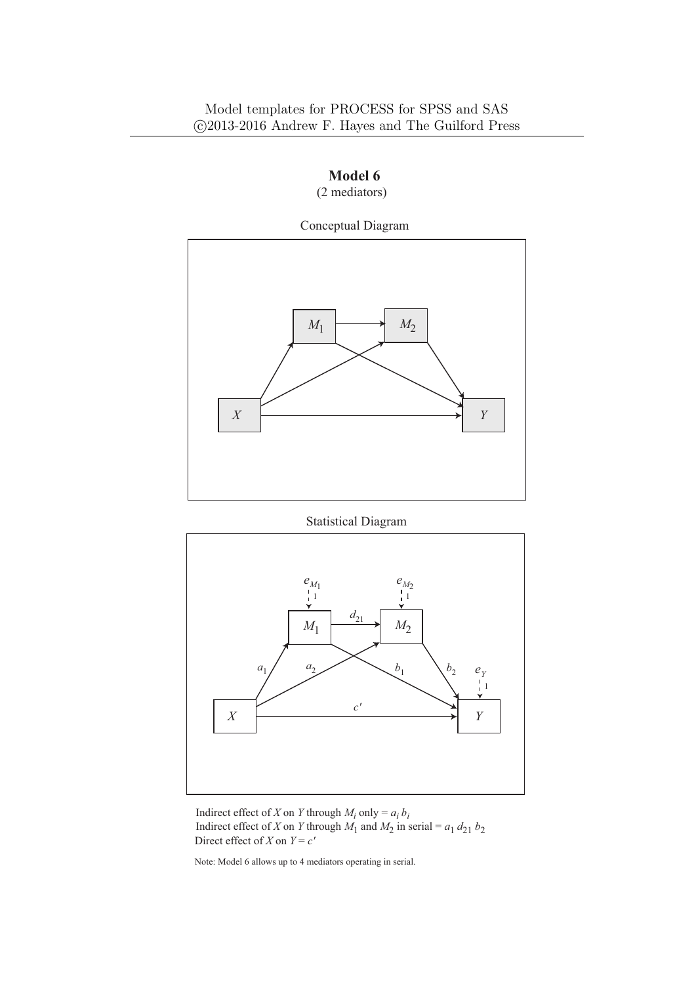

 **Model 6** (2 mediators)

#### Statistical Diagram



Indirect effect of *X* on *Y* through  $M_i$  only =  $a_i b_i$ Direct effect of *X* on  $Y = c'$ Indirect effect of *X* on *Y* through  $M_1$  and  $M_2$  in serial =  $a_1 d_{21} b_2$ 

Note: Model 6 allows up to 4 mediators operating in serial.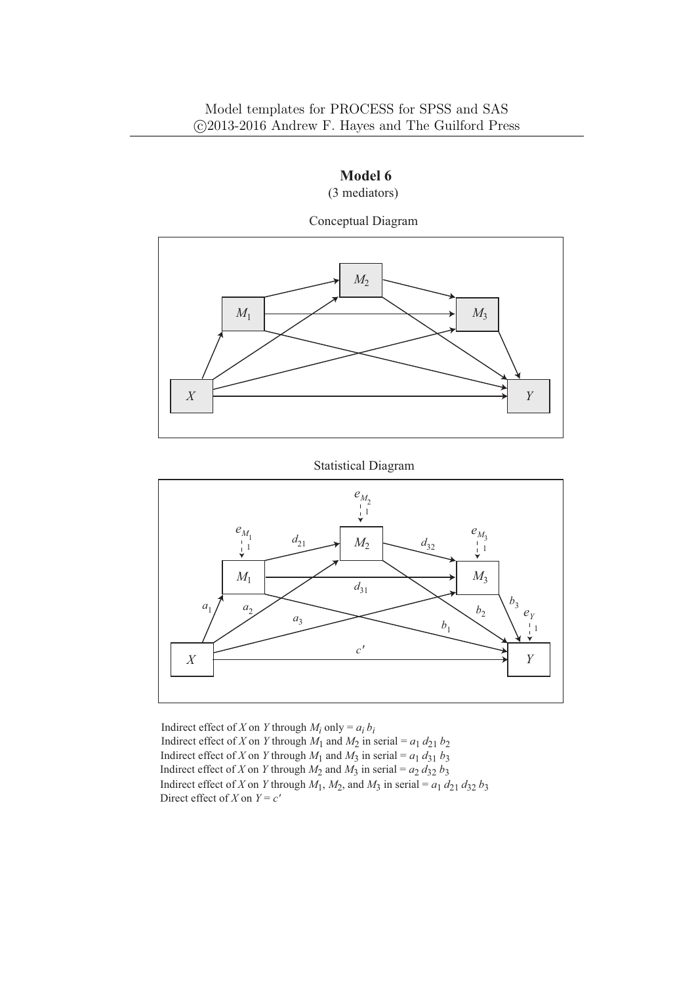#### Model templates for PROCESS for SPSS and SAS *⃝*c 2013-2016 Andrew F. Hayes and The Guilford Press



 **Model 6** (3 mediators)

Statistical Diagram



Indirect effect of *X* on *Y* through  $M_i$  only =  $a_i b_i$ Direct effect of *X* on  $Y = c'$ Indirect effect of *X* on *Y* through  $M_1$  and  $M_2$  in serial =  $a_1 d_{21} b_2$ Indirect effect of *X* on *Y* through  $M_1$  and  $M_3$  in serial =  $a_1 d_{31} b_3$ Indirect effect of *X* on *Y* through  $M_1$ ,  $M_2$ , and  $M_3$  in serial =  $a_1 d_{21} d_{32} b_3$ Indirect effect of *X* on *Y* through  $M_2$  and  $M_3$  in serial =  $a_2 d_{32} b_3$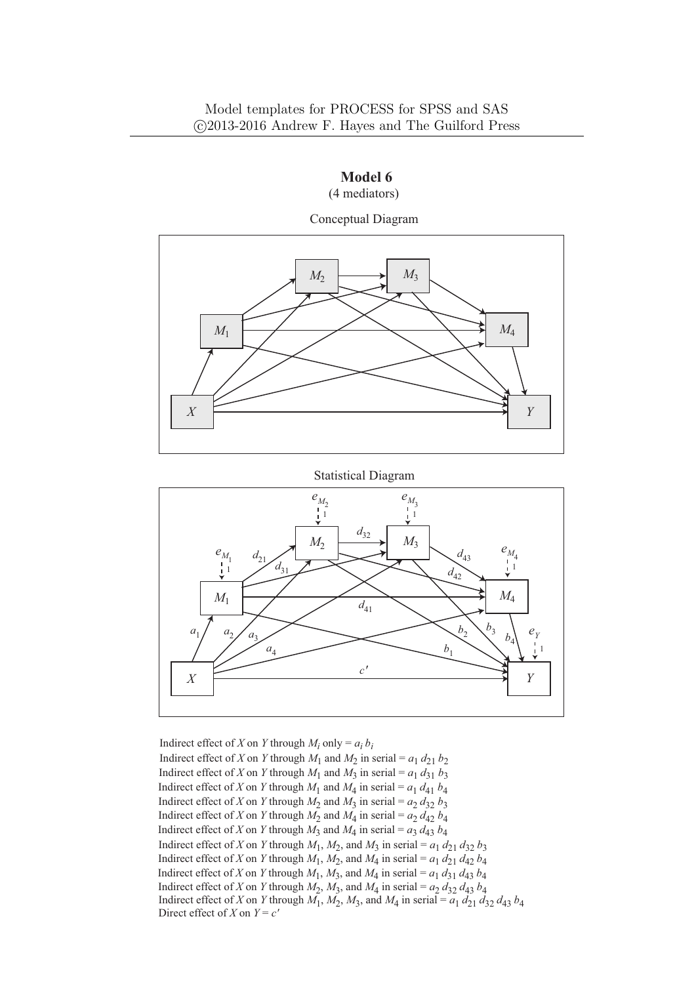#### Model templates for PROCESS for SPSS and SAS *⃝*c 2013-2016 Andrew F. Hayes and The Guilford Press



Statistical Diagram



Indirect effect of *X* on *Y* through  $M_i$  only =  $a_i b_i$ Direct effect of *X* on  $Y = c'$ Indirect effect of *X* on *Y* through  $M_1$  and  $M_2$  in serial =  $a_1 d_{21} b_2$ Indirect effect of *X* on *Y* through  $M_1$  and  $M_3$  in serial =  $a_1 d_{31} b_3$ Indirect effect of *X* on *Y* through  $M_1$ ,  $M_2$ ,  $M_3$ , and  $M_4$  in serial =  $a_1 d_{21} d_{32} d_{43} b_4$ Indirect effect of *X* on *Y* through  $M_2$  and  $M_3$  in serial =  $a_2 d_{32} b_3$ Indirect effect of *X* on *Y* through  $M_1$  and  $M_4$  in serial =  $a_1 d_{41} b_4$ Indirect effect of *X* on *Y* through  $M_2$  and  $M_4$  in serial =  $a_2 d_{42} b_4$ Indirect effect of *X* on *Y* through  $M_3$  and  $M_4$  in serial =  $a_3 d_{43} b_4$ Indirect effect of *X* on *Y* through  $M_1$ ,  $M_2$ , and  $M_3$  in serial =  $a_1 d_{21} d_{32} b_3$ Indirect effect of *X* on *Y* through  $M_1$ ,  $M_2$ , and  $M_4$  in serial =  $a_1 d_{21} d_{42} b_4$ Indirect effect of *X* on *Y* through  $M_1$ ,  $M_3$ , and  $M_4$  in serial =  $a_1 d_{31} d_{43} b_4$ Indirect effect of *X* on *Y* through  $M_2$ ,  $M_3$ , and  $M_4$  in serial =  $a_2 d_{32} d_{43} b_4$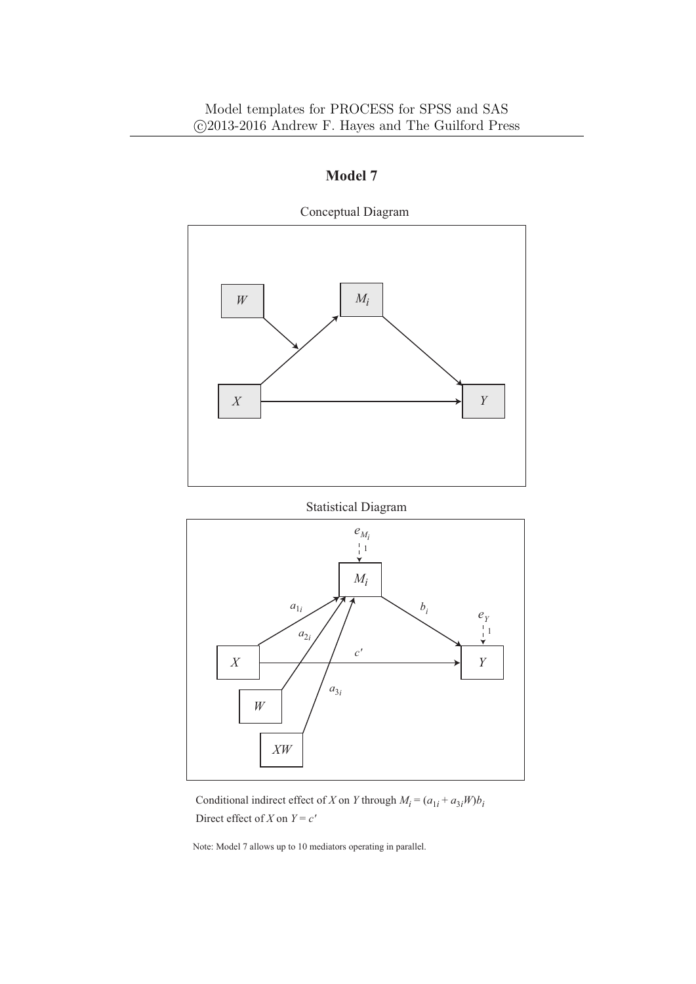

Statistical Diagram



Conditional indirect effect of *X* on *Y* through  $M_i = (a_{1i} + a_{3i}W)b_i$ Direct effect of *X* on  $Y = c'$ 

Note: Model 7 allows up to 10 mediators operating in parallel.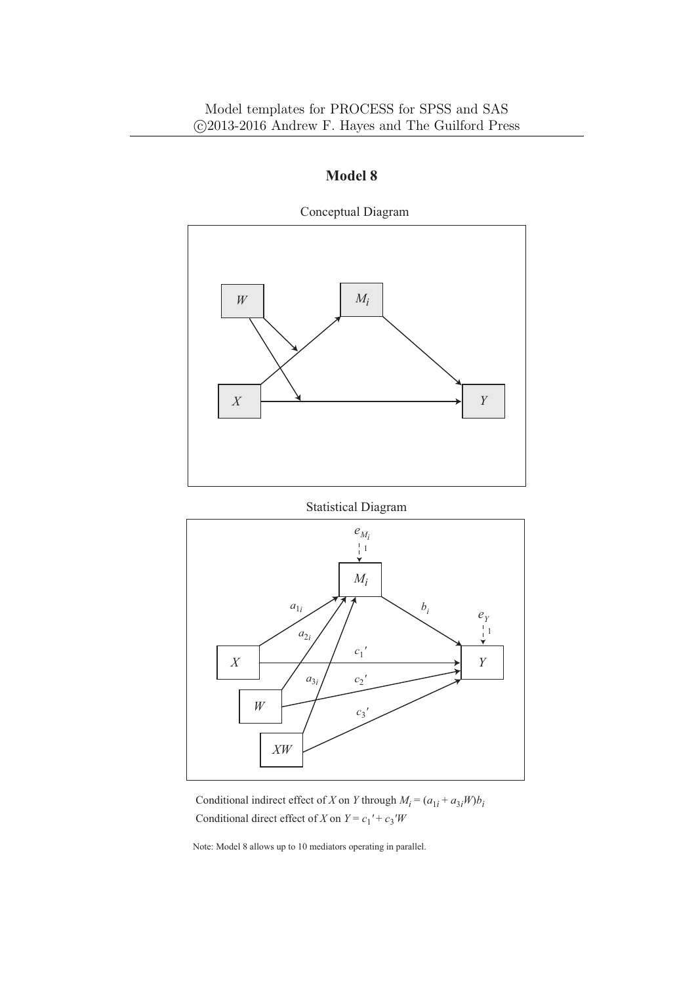

Statistical Diagram



Conditional indirect effect of *X* on *Y* through  $M_i = (a_{1i} + a_{3i}W)b_i$ Conditional direct effect of *X* on  $Y = c_1' + c_3'W$ 

Note: Model 8 allows up to 10 mediators operating in parallel.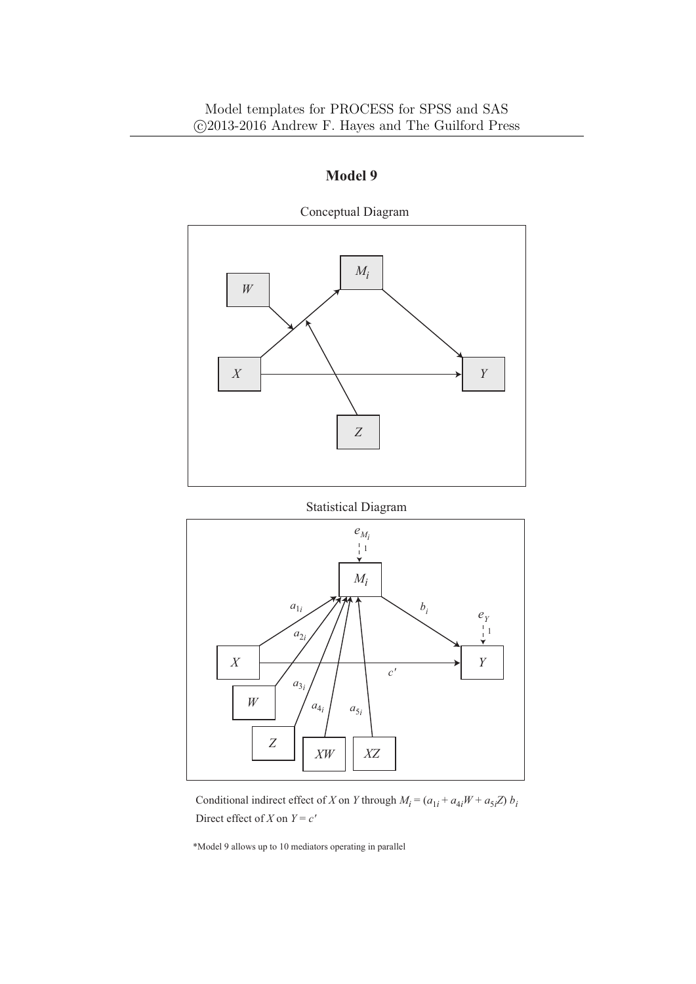

Statistical Diagram



Conditional indirect effect of *X* on *Y* through  $M_i = (a_{1i} + a_{4i}W + a_{5i}Z) b_i$ Direct effect of *X* on  $Y = c'$ 

\*Model 9 allows up to 10 mediators operating in parallel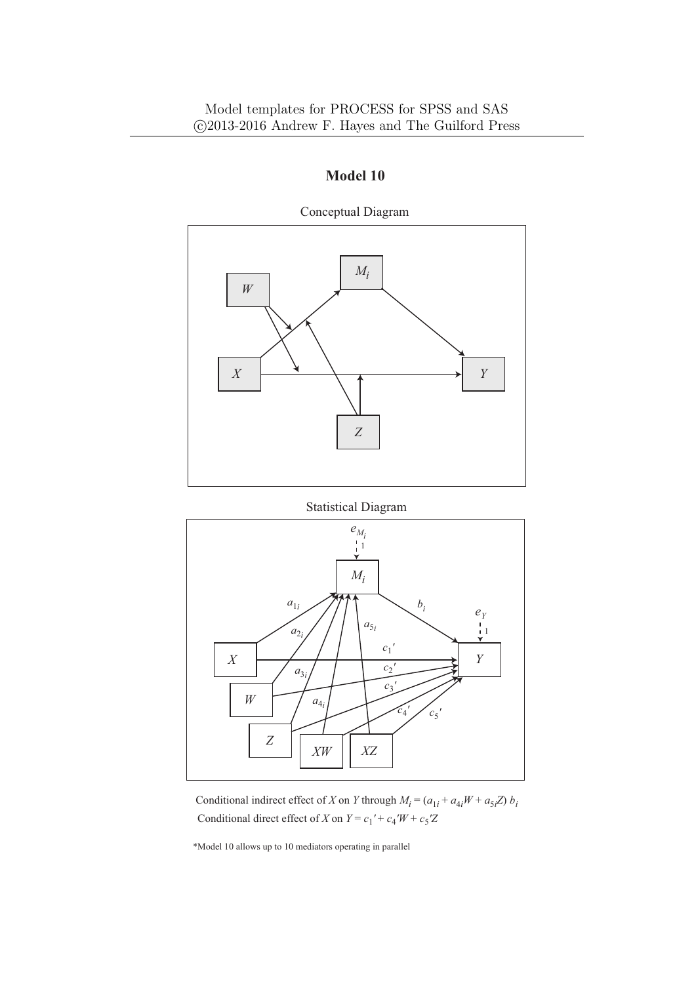

Statistical Diagram



Conditional indirect effect of *X* on *Y* through  $M_i = (a_{1i} + a_{4i}W + a_{5i}Z) b_i$ Conditional direct effect of *X* on  $Y = c_1' + c_4'W + c_5'Z$ 

\*Model 10 allows up to 10 mediators operating in parallel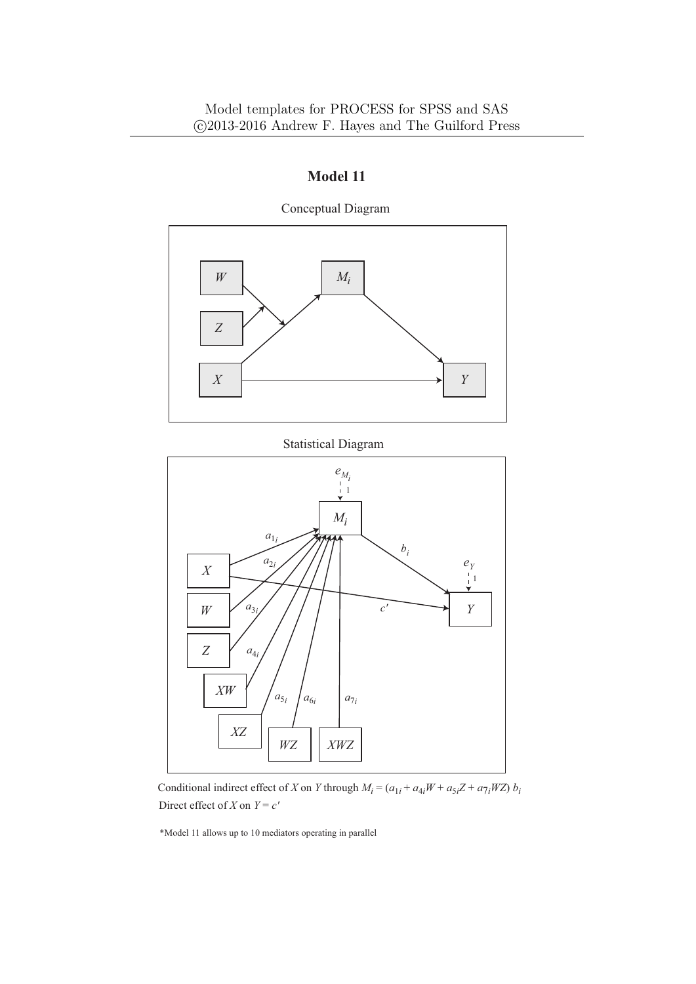

Conceptual Diagram

Statistical Diagram



Conditional indirect effect of *X* on *Y* through  $M_i = (a_{1i} + a_{4i}W + a_{5i}Z + a_{7i}WZ)$  *b<sub>i</sub>* Direct effect of *X* on  $Y = c'$ 

\*Model 11 allows up to 10 mediators operating in parallel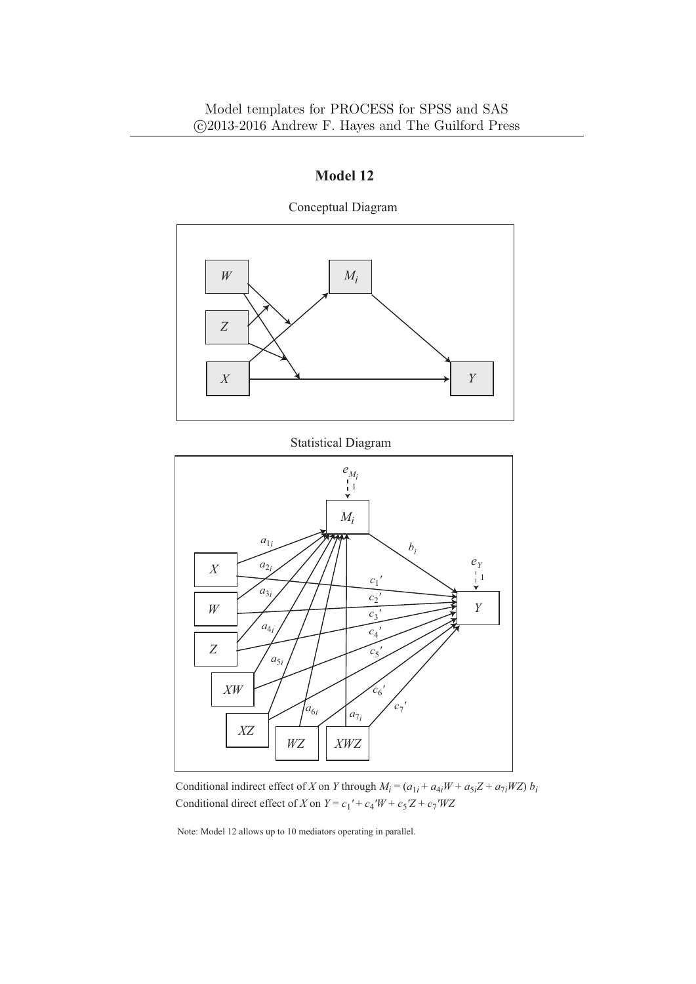

**Model 12**

Conceptual Diagram

Statistical Diagram



Conditional indirect effect of *X* on *Y* through  $M_i = (a_{1i} + a_{4i}W + a_{5i}Z + a_{7i}WZ)$  *b<sub>i</sub>* Conditional direct effect of *X* on  $Y = c_1' + c_4'W + c_5'Z + c_7'WZ$ 

Note: Model 12 allows up to 10 mediators operating in parallel.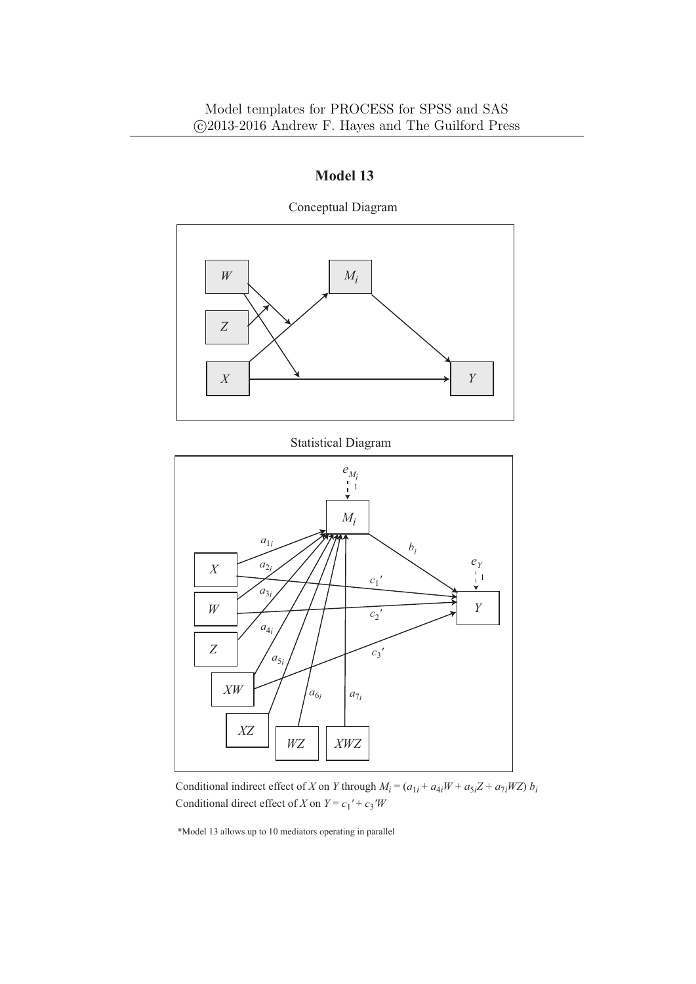

Conceptual Diagram

#### Statistical Diagram



Conditional indirect effect of *X* on *Y* through  $M_i = (a_{1i} + a_{4i}W + a_{5i}Z + a_{7i}WZ)$  *b<sub>i</sub>* Conditional direct effect of *X* on  $Y = c_1' + c_3'W$ 

\*Model 13 allows up to 10 mediators operating in parallel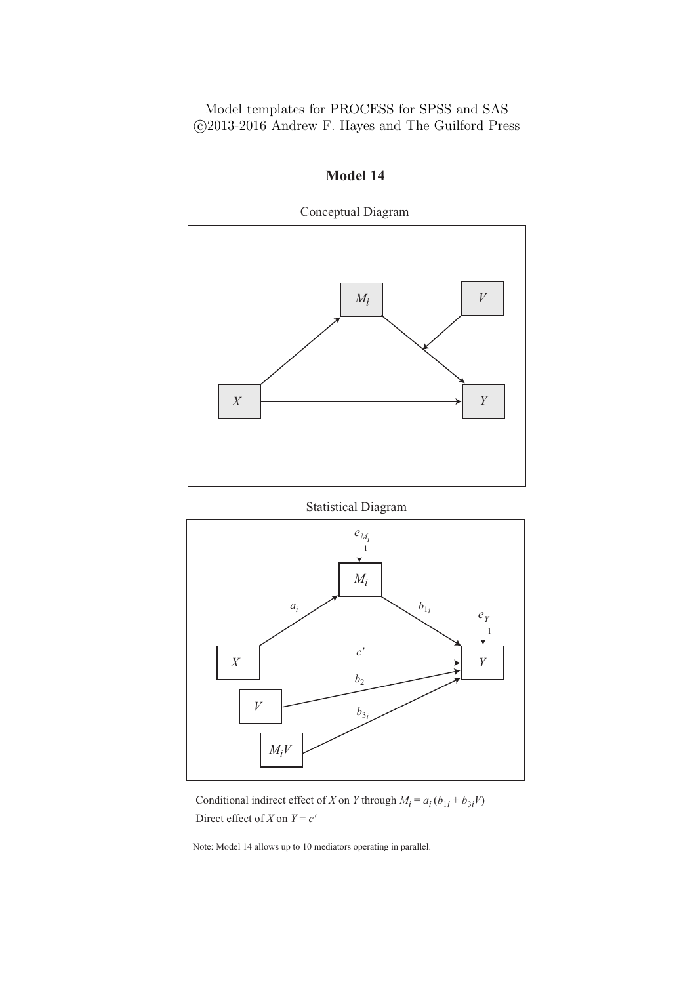

Statistical Diagram



Conditional indirect effect of *X* on *Y* through  $M_i = a_i (b_{1i} + b_{3i} V)$ Direct effect of *X* on  $Y = c'$ 

Note: Model 14 allows up to 10 mediators operating in parallel.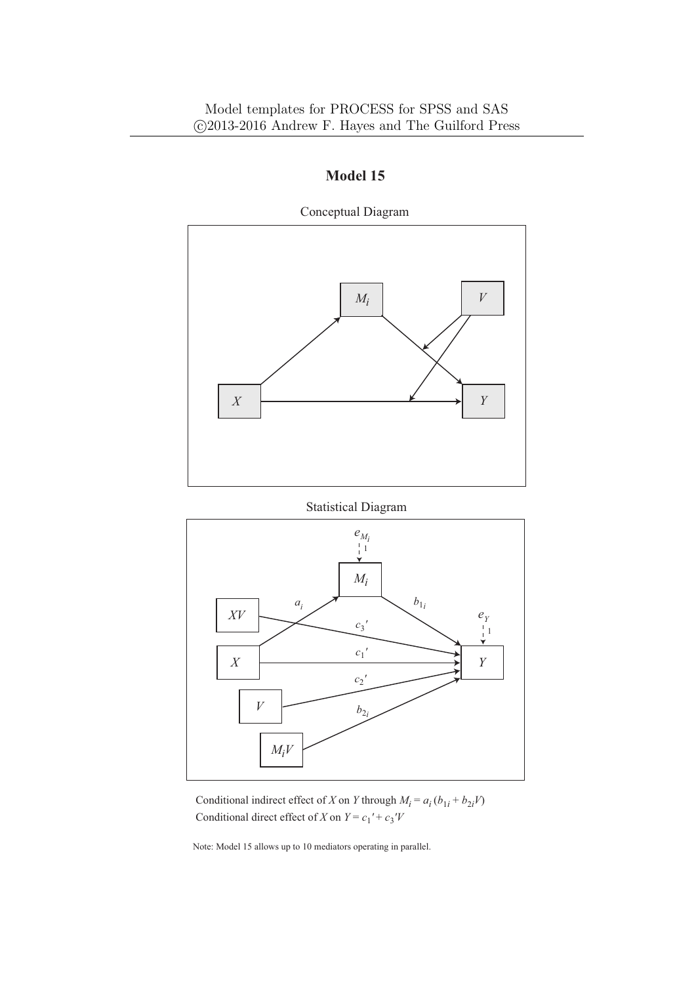

Statistical Diagram



Conditional indirect effect of *X* on *Y* through  $M_i = a_i (b_{1i} + b_{2i} V)$ Conditional direct effect of *X* on  $Y = c_1' + c_3'V$ 

Note: Model 15 allows up to 10 mediators operating in parallel.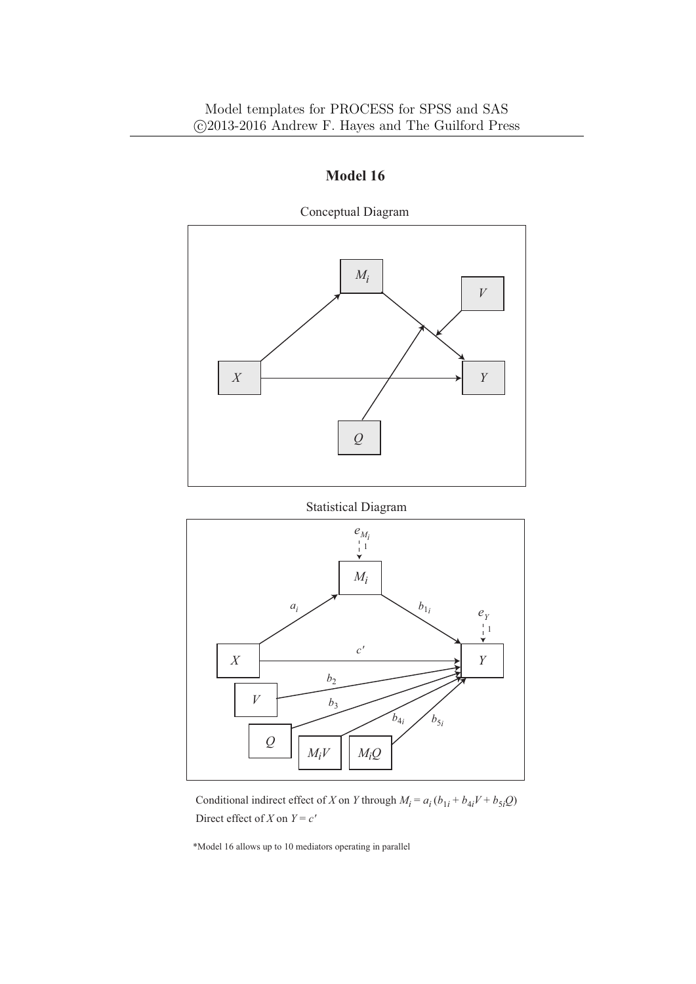



Conditional indirect effect of *X* on *Y* through  $M_i = a_i (b_{1i} + b_{4i}V + b_{5i}Q)$ Direct effect of *X* on  $Y = c'$ 

\*Model 16 allows up to 10 mediators operating in parallel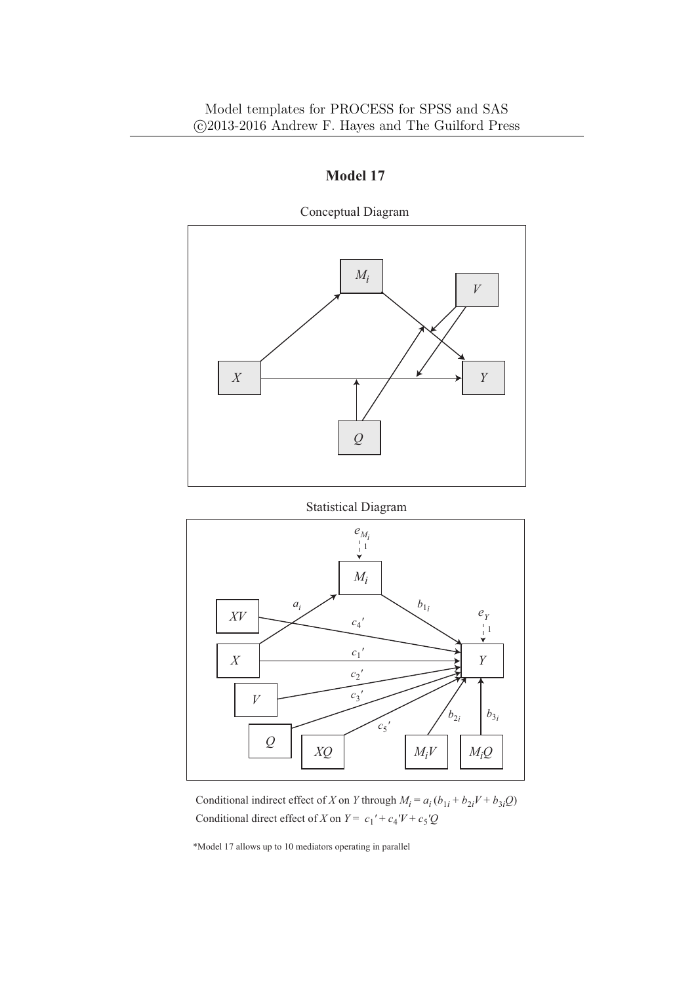

Statistical Diagram



Conditional indirect effect of *X* on *Y* through  $M_i = a_i (b_{1i} + b_{2i}V + b_{3i}Q)$ Conditional direct effect of *X* on  $Y = c_1' + c_4'V + c_5'Q$ 

\*Model 17 allows up to 10 mediators operating in parallel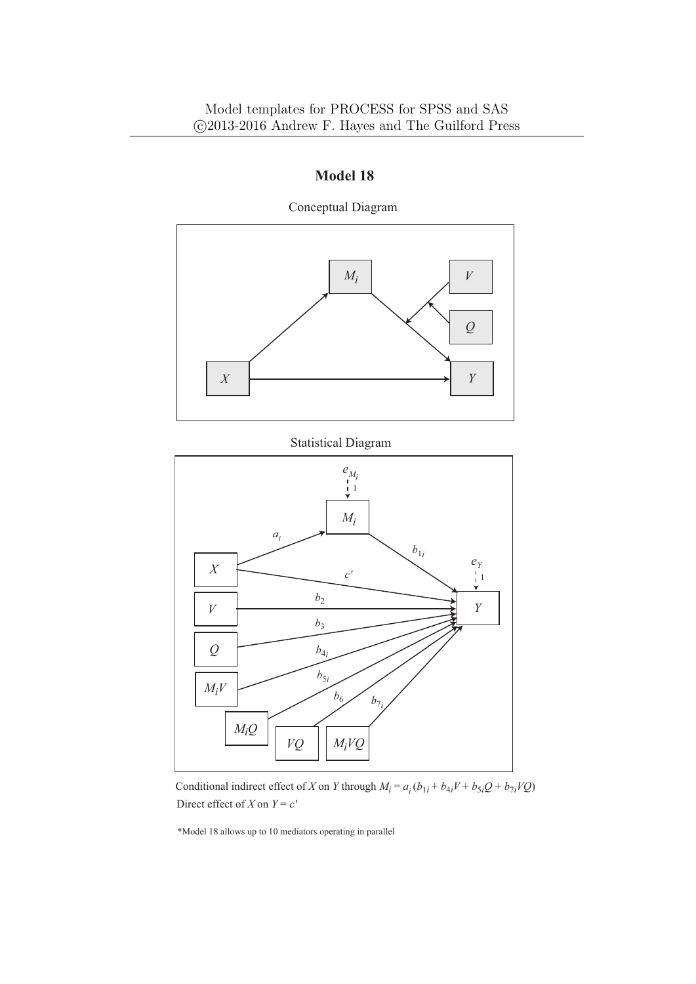

Conceptual Diagram

## Statistical Diagram



Conditional indirect effect of *X* on *Y* through  $M_i = a_i (b_{1i} + b_{4i}V + b_{5i}Q + b_{7i}VQ)$ Direct effect of *X* on  $Y = c'$ 

\*Model 18 allows up to 10 mediators operating in parallel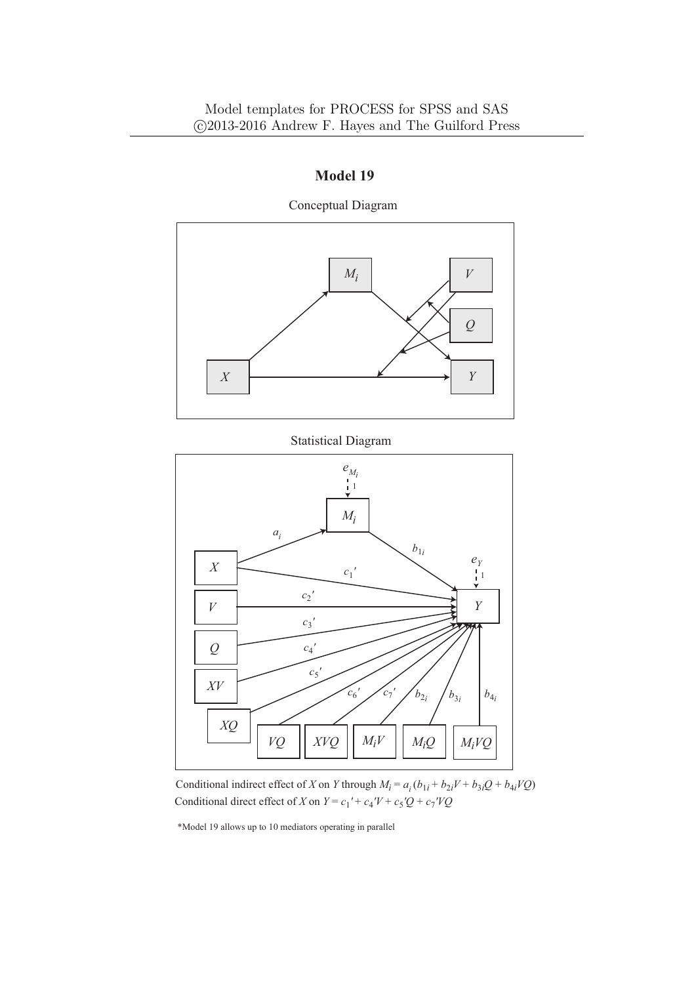

Conceptual Diagram

Conditional indirect effect of *X* on *Y* through  $M_i = a_i (b_{1i} + b_{2i}V + b_{3i}Q + b_{4i}VQ)$ Conditional direct effect of *X* on  $Y = c_1' + c_4'V + c_5'Q + c_7'VQ$ 

\*Model 19 allows up to 10 mediators operating in parallel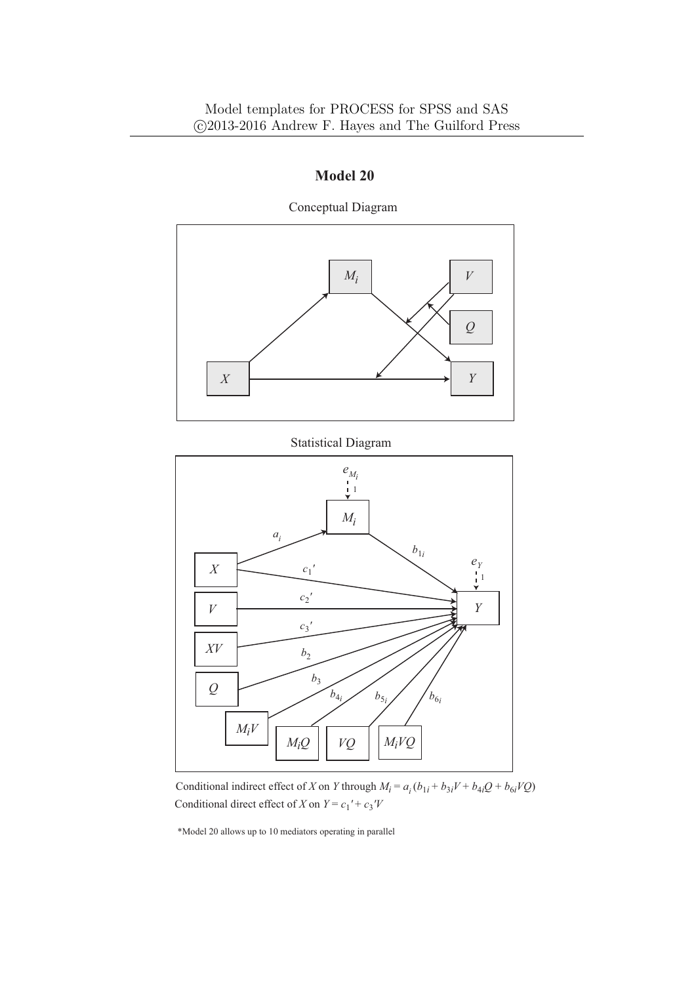

Conceptual Diagram

#### Statistical Diagram



Conditional indirect effect of *X* on *Y* through  $M_i = a_i (b_{1i} + b_{3i}V + b_{4i}Q + b_{6i}VQ)$ Conditional direct effect of *X* on  $Y = c_1' + c_3'V$ 

\*Model 20 allows up to 10 mediators operating in parallel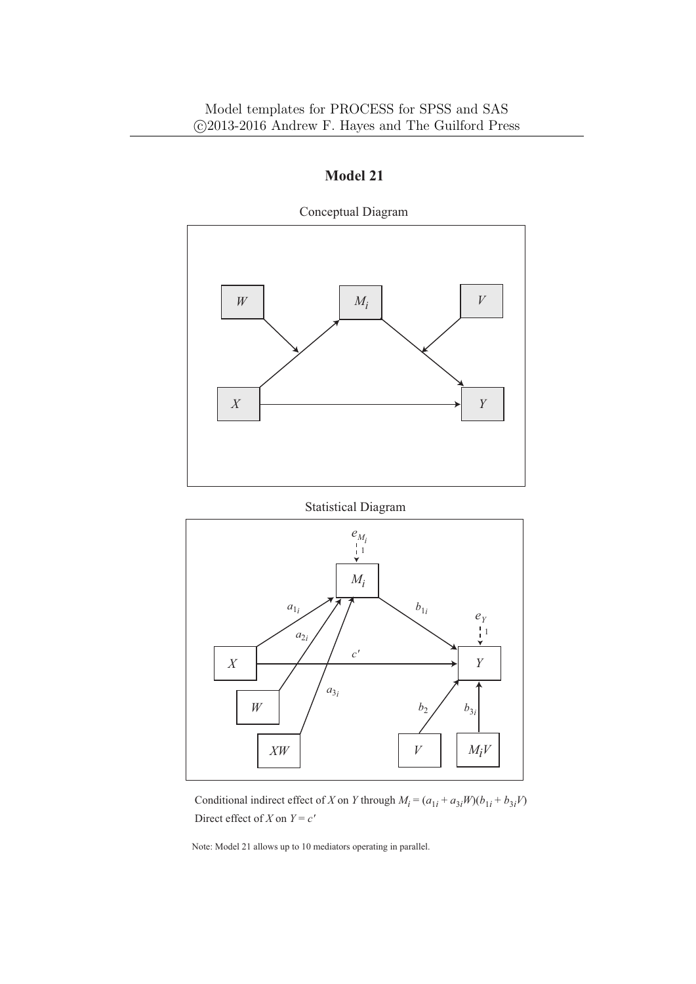

Conceptual Diagram

Statistical Diagram



Conditional indirect effect of *X* on *Y* through  $M_i = (a_{1i} + a_{3i}W)(b_{1i} + b_{3i}V)$ Direct effect of *X* on  $Y = c'$ 

Note: Model 21 allows up to 10 mediators operating in parallel.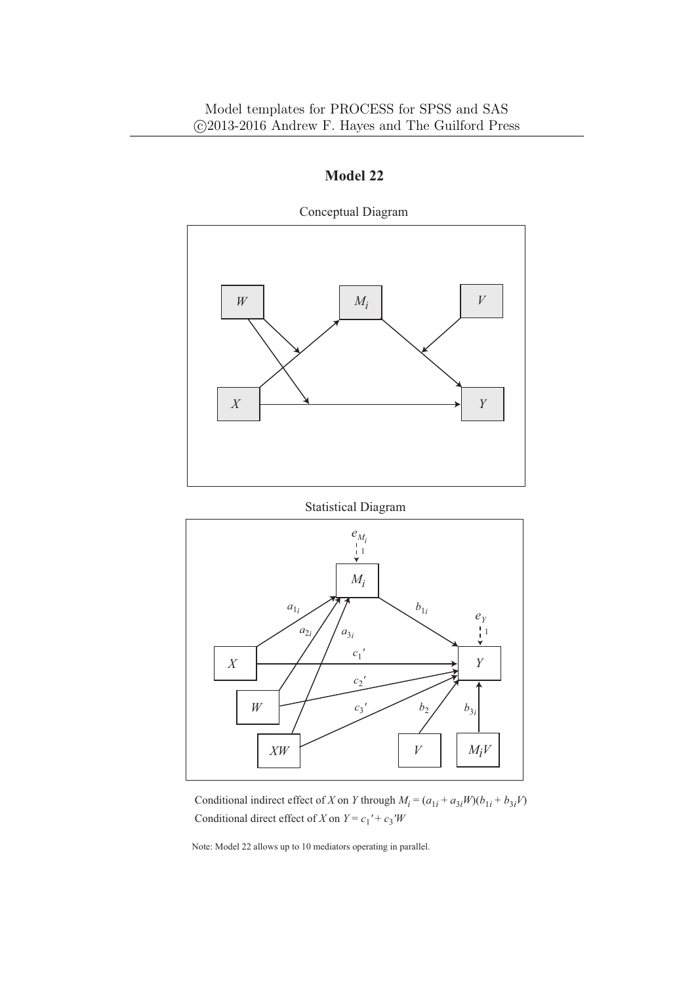

**Model 22**

Conceptual Diagram

Statistical Diagram



Conditional indirect effect of *X* on *Y* through  $M_i = (a_{1i} + a_{3i}W)(b_{1i} + b_{3i}V)$ Conditional direct effect of *X* on  $Y = c_1' + c_3'W$ 

Note: Model 22 allows up to 10 mediators operating in parallel.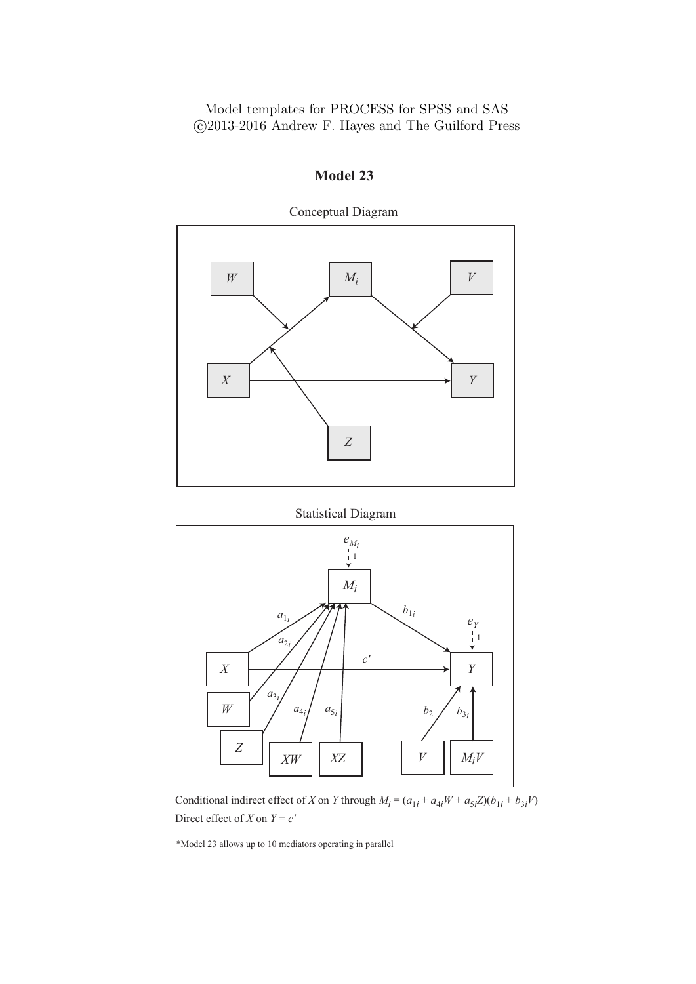

Conceptual Diagram

Statistical Diagram



Conditional indirect effect of *X* on *Y* through  $M_i = (a_{1i} + a_{4i}W + a_{5i}Z)(b_{1i} + b_{3i}V)$ Direct effect of *X* on  $Y = c'$ 

\*Model 23 allows up to 10 mediators operating in parallel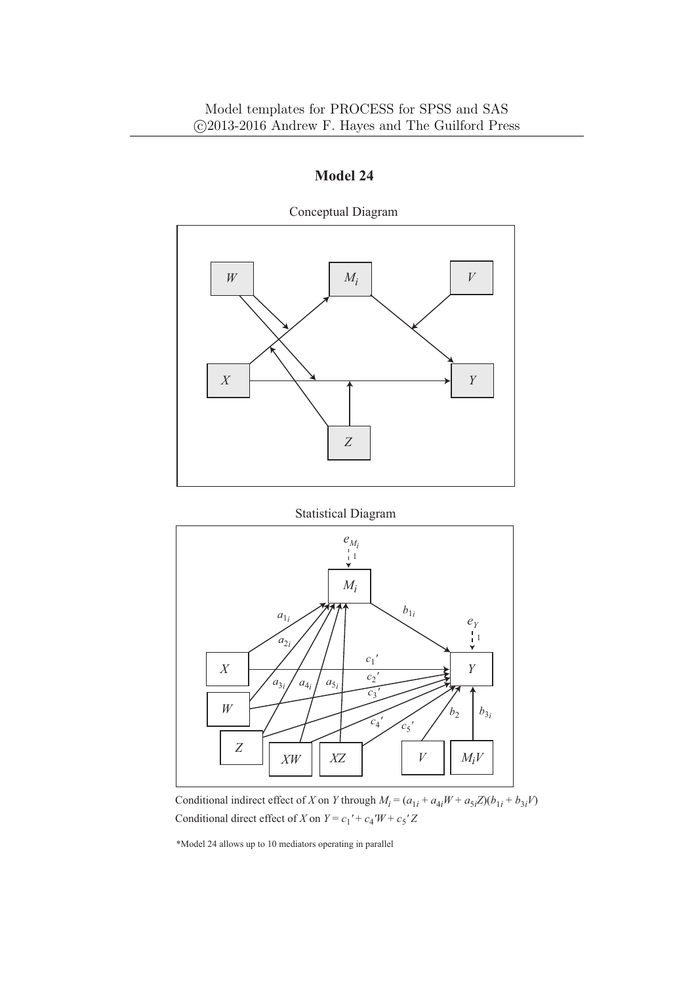

Conceptual Diagram

Statistical Diagram



Conditional indirect effect of *X* on *Y* through  $M_i = (a_{1i} + a_{4i}W + a_{5i}Z)(b_{1i} + b_{3i}V)$ Conditional direct effect of *X* on  $Y = c_1' + c_4'W + c_5'Z$ 

\*Model 24 allows up to 10 mediators operating in parallel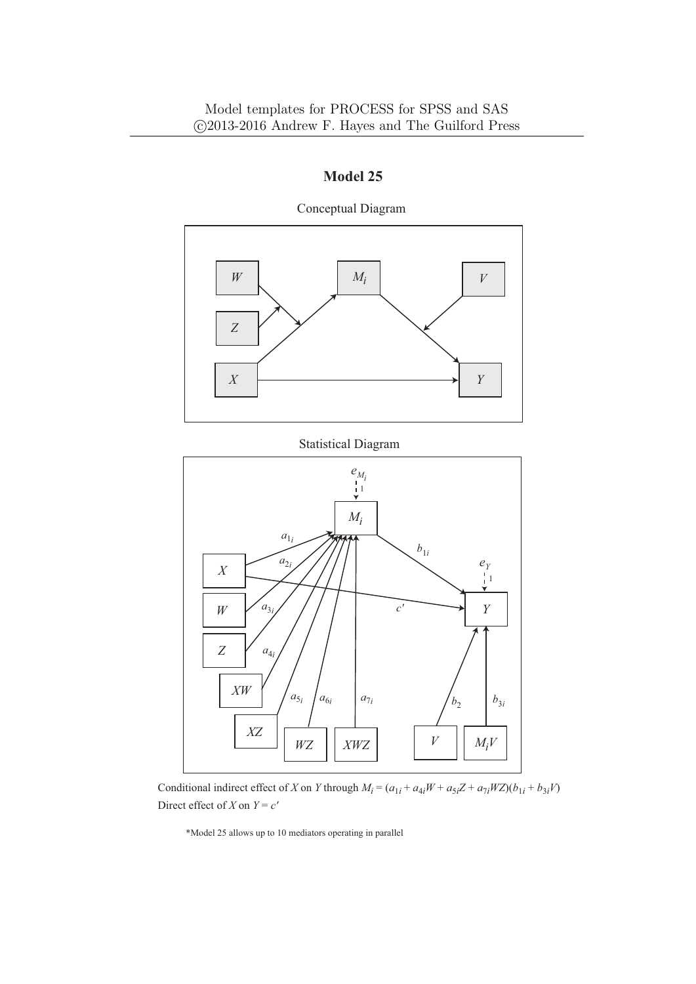

Conceptual Diagram



Conditional indirect effect of X on Y through  $M_i = (a_{1i} + a_{4i}W + a_{5i}Z + a_{7i}WZ)(b_{1i} + b_{3i}V)$ Direct effect of *X* on  $Y = c'$ 

\*Model 25 allows up to 10 mediators operating in parallel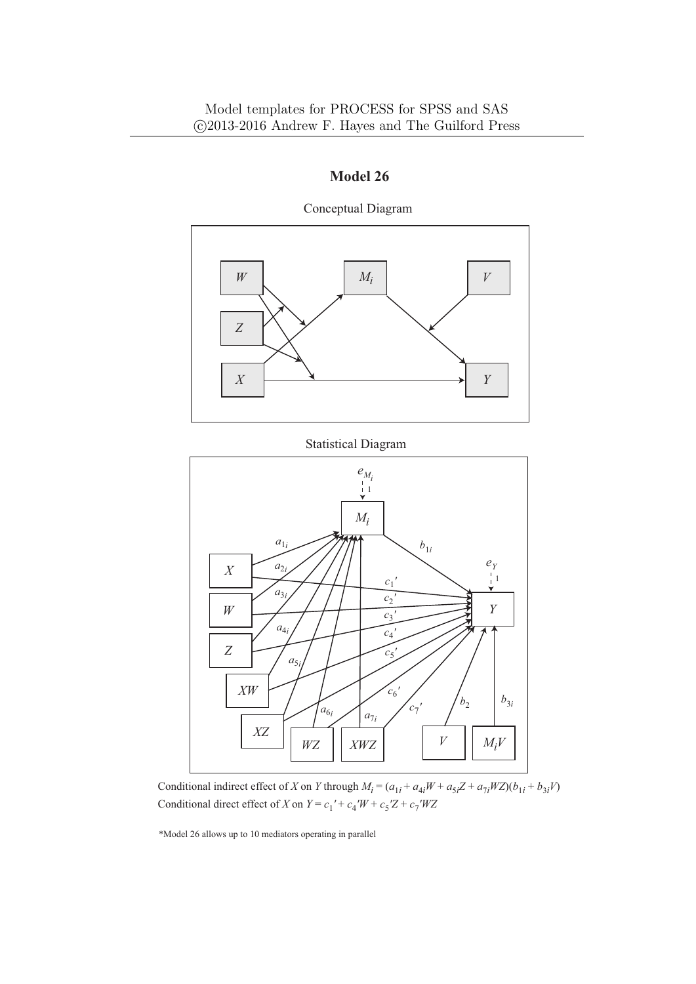

Conceptual Diagram

Statistical Diagram



Conditional direct effect of *X* on  $Y = c_1' + c_4'W + c_5'Z + c_7'WZ$ Conditional indirect effect of X on Y through  $M_i = (a_{1i} + a_{4i}W + a_{5i}Z + a_{7i}WZ)(b_{1i} + b_{3i}V)$ 

\*Model 26 allows up to 10 mediators operating in parallel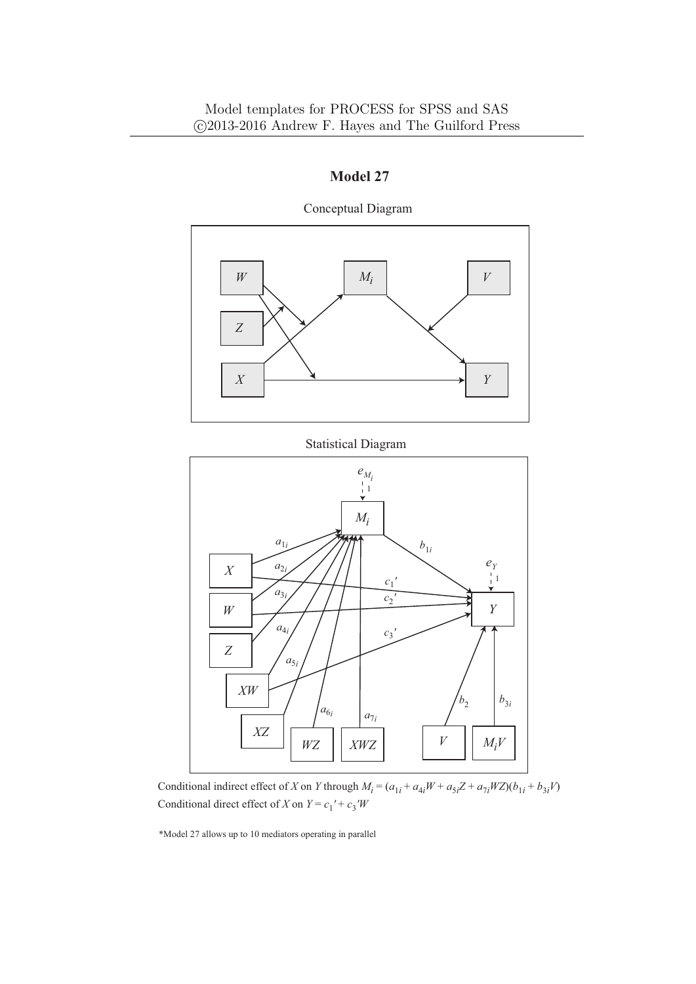

Conceptual Diagram

Statistical Diagram



Conditional direct effect of *X* on  $Y = c_1' + c_3'W$ Conditional indirect effect of X on Y through  $M_i = (a_{1i} + a_{4i}W + a_{5i}Z + a_{7i}WZ)(b_{1i} + b_{3i}V)$ 

\*Model 27 allows up to 10 mediators operating in parallel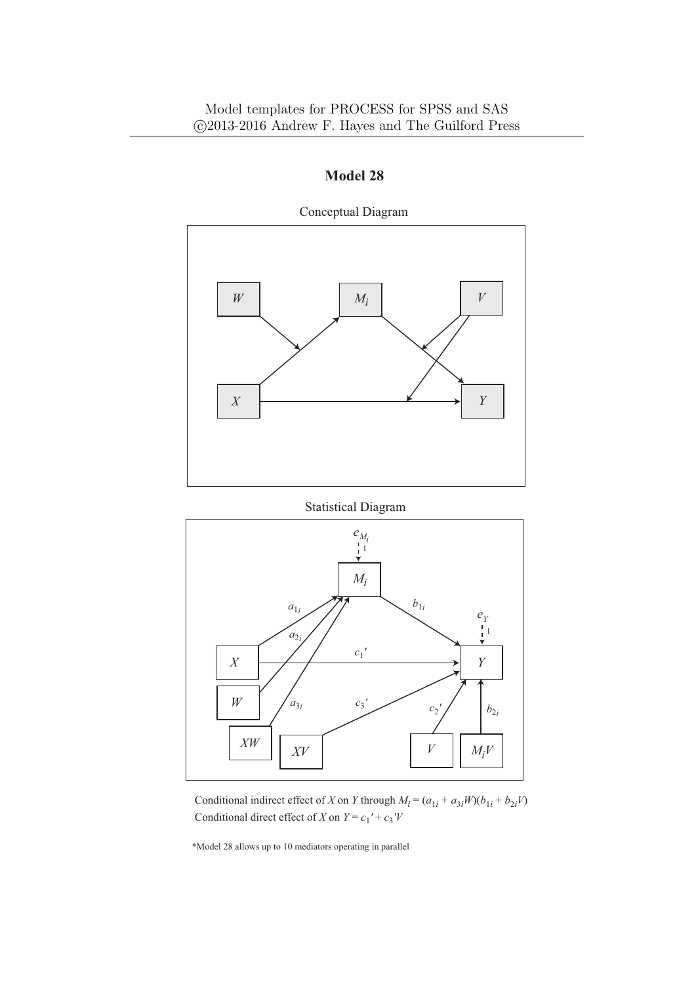

Conceptual Diagram

Statistical Diagram



Conditional indirect effect of *X* on *Y* through  $M_i = (a_{1i} + a_{3i}W)(b_{1i} + b_{2i}V)$ Conditional direct effect of *X* on  $Y = c_1' + c_3'V$ 

\*Model 28 allows up to 10 mediators operating in parallel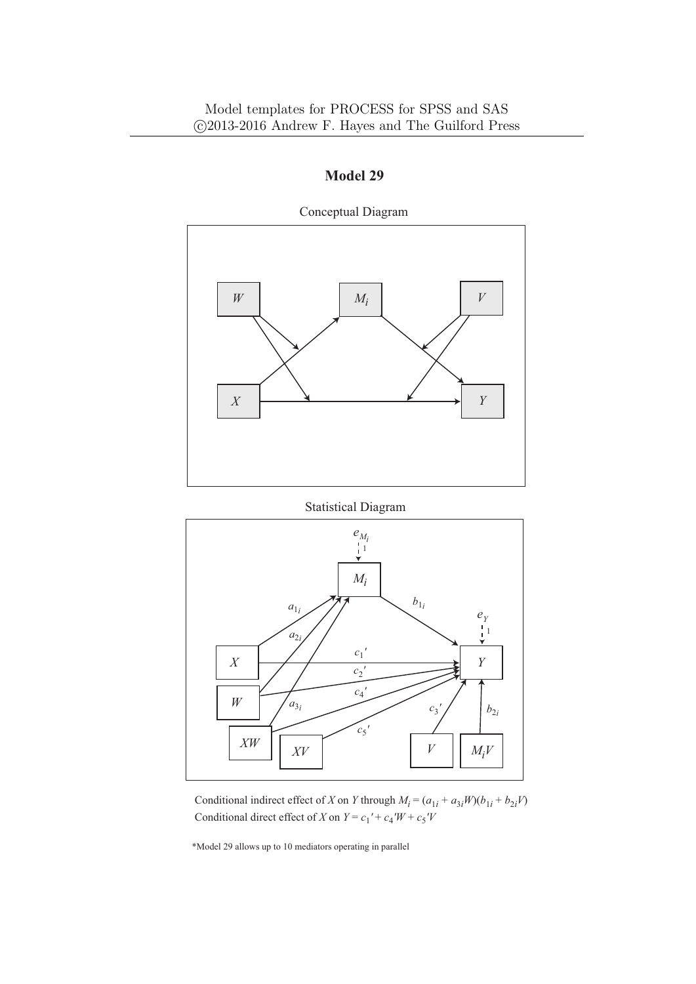

**Model 29**

Conceptual Diagram

Statistical Diagram



Conditional indirect effect of *X* on *Y* through  $M_i = (a_{1i} + a_{3i}W)(b_{1i} + b_{2i}V)$ Conditional direct effect of *X* on  $Y = c_1' + c_4'W + c_5'V$ 

\*Model 29 allows up to 10 mediators operating in parallel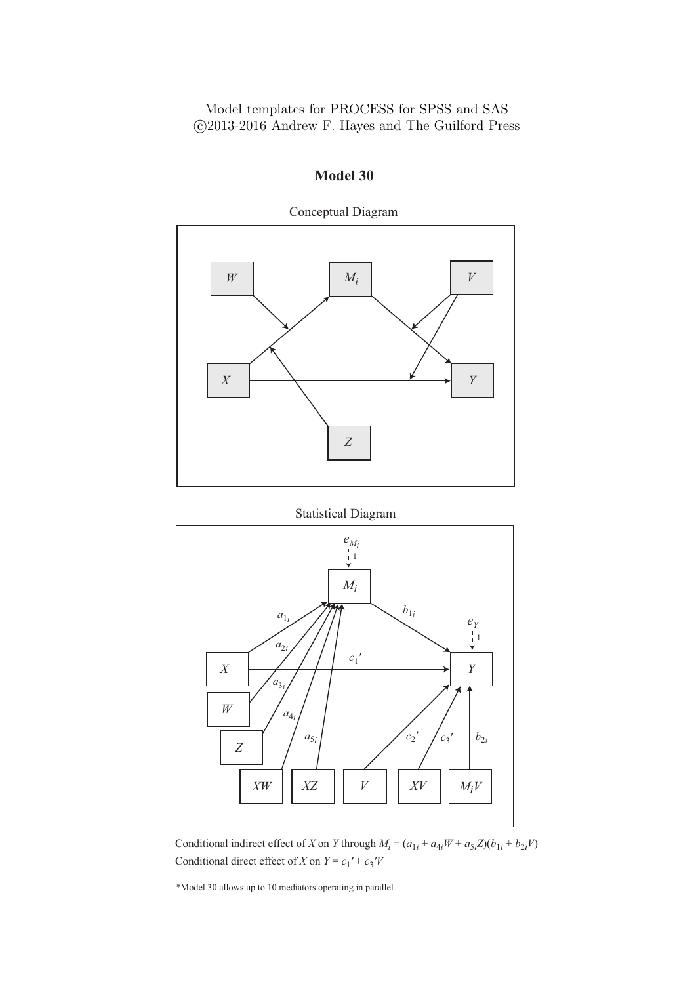

Conceptual Diagram

Statistical Diagram



Conditional indirect effect of *X* on *Y* through  $M_i = (a_{1i} + a_{4i}W + a_{5i}Z)(b_{1i} + b_{2i}V)$ Conditional direct effect of *X* on  $Y = c_1' + c_3'V$ 

\*Model 30 allows up to 10 mediators operating in parallel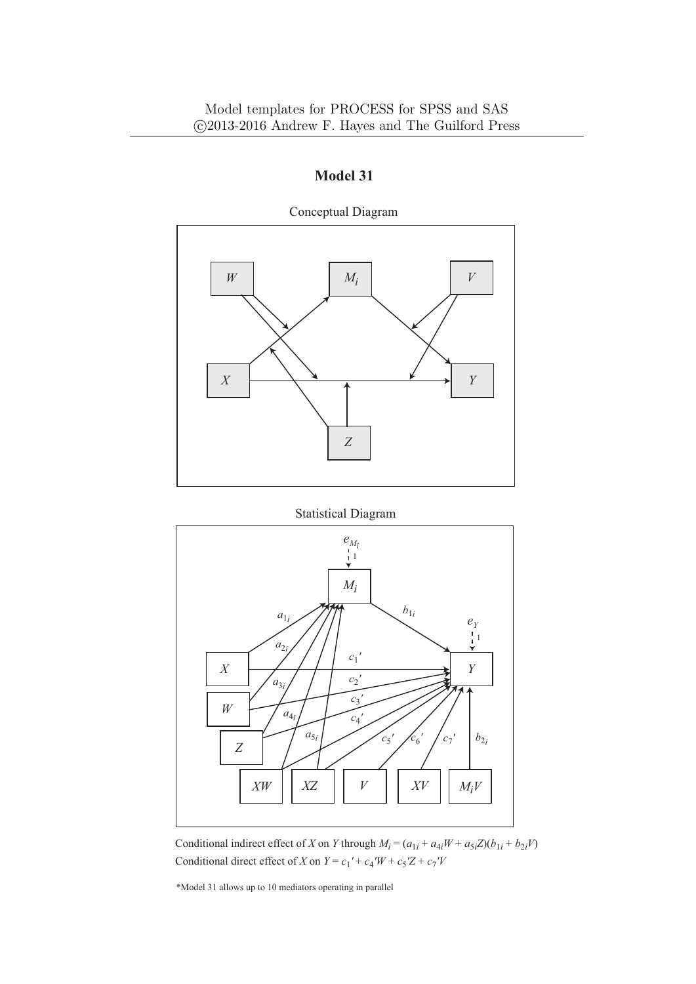

Conceptual Diagram

Statistical Diagram



Conditional indirect effect of *X* on *Y* through  $M_i = (a_{1i} + a_{4i}W + a_{5i}Z)(b_{1i} + b_{2i}V)$ Conditional direct effect of *X* on  $Y = c_1' + c_4'W + c_5'Z + c_7'V$ 

\*Model 31 allows up to 10 mediators operating in parallel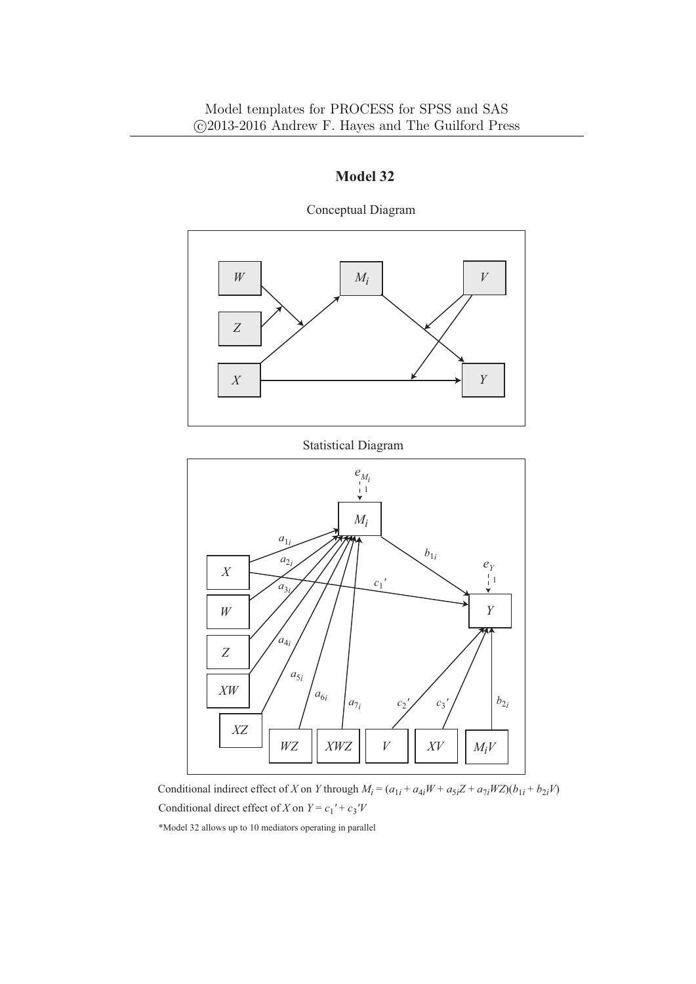

Conceptual Diagram

Conditional indirect effect of X on Y through  $M_i = (a_{1i} + a_{4i}W + a_{5i}Z + a_{7i}WZ)(b_{1i} + b_{2i}V)$ Conditional direct effect of *X* on  $Y = c_1' + c_3'V$ 

*V*

*XWZ*

*XV*  $\bigcup M_iV$ 

\*Model 32 allows up to 10 mediators operating in parallel

*XZ*

*WZ*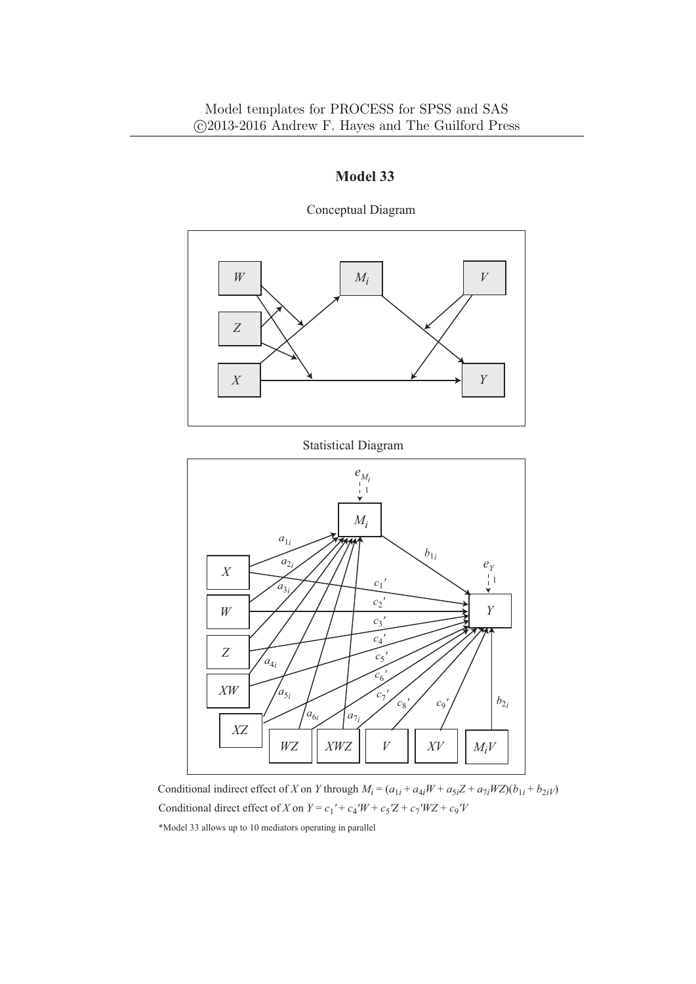

Conceptual Diagram

Statistical Diagram



Conditional indirect effect of *X* on *Y* through  $M_i = (a_{1i} + a_{4i}W + a_{5i}Z + a_{7i}WZ)(b_{1i} + b_{2i}V)$ Conditional direct effect of *X* on  $Y = c_1' + c_4'W + c_5'Z + c_7'WZ + c_9'V$ 

\*Model 33 allows up to 10 mediators operating in parallel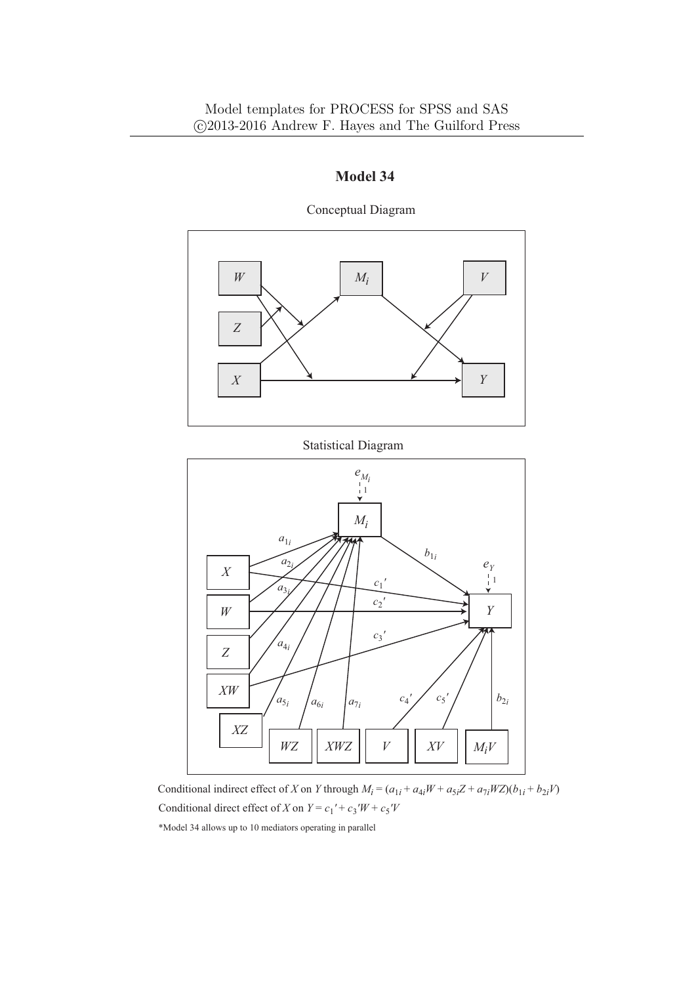

Conceptual Diagram

Statistical Diagram



Conditional indirect effect of X on Y through  $M_i = (a_{1i} + a_{4i}W + a_{5i}Z + a_{7i}WZ)(b_{1i} + b_{2i}V)$ Conditional direct effect of *X* on  $Y = c_1' + c_3'W + c_5'V$ 

\*Model 34 allows up to 10 mediators operating in parallel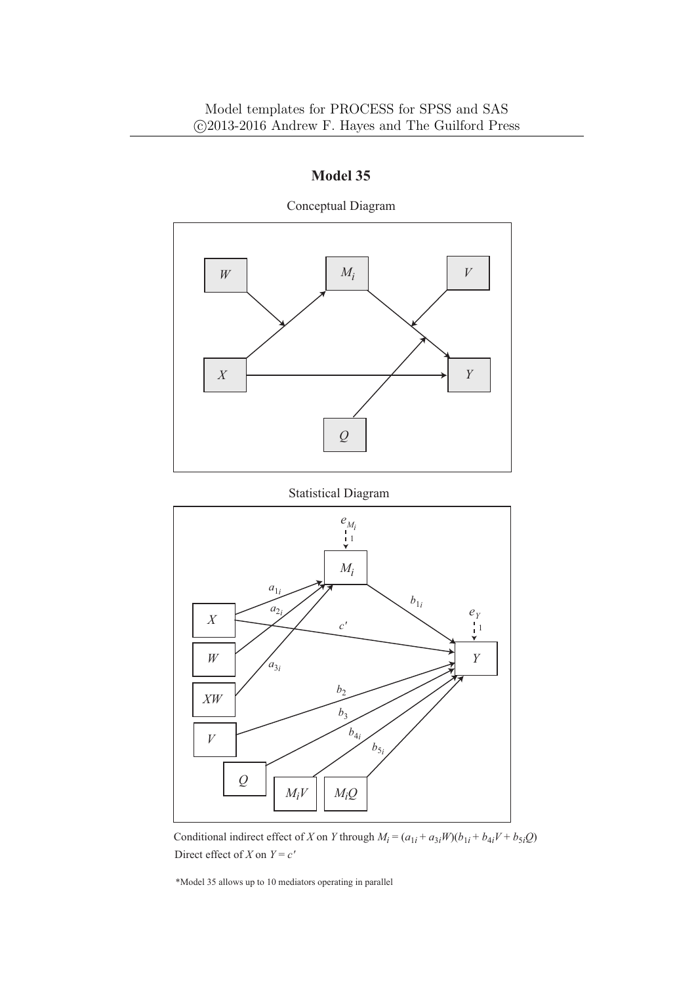

Conceptual Diagram





Conditional indirect effect of *X* on *Y* through  $M_i = (a_{1i} + a_{3i}W)(b_{1i} + b_{4i}V + b_{5i}Q)$ Direct effect of *X* on  $Y = c'$ 

\*Model 35 allows up to 10 mediators operating in parallel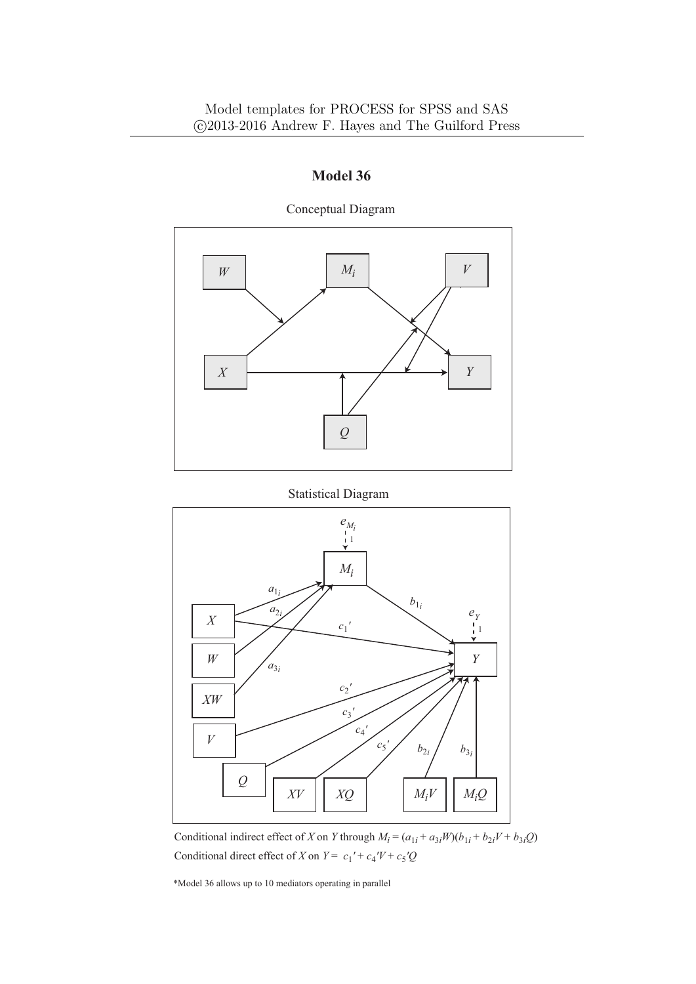

Conceptual Diagram





Conditional indirect effect of *X* on *Y* through  $M_i = (a_{1i} + a_{3i}W)(b_{1i} + b_{2i}V + b_{3i}Q)$ Conditional direct effect of *X* on  $Y = c_1' + c_4'V + c_5'Q$ 

\*Model 36 allows up to 10 mediators operating in parallel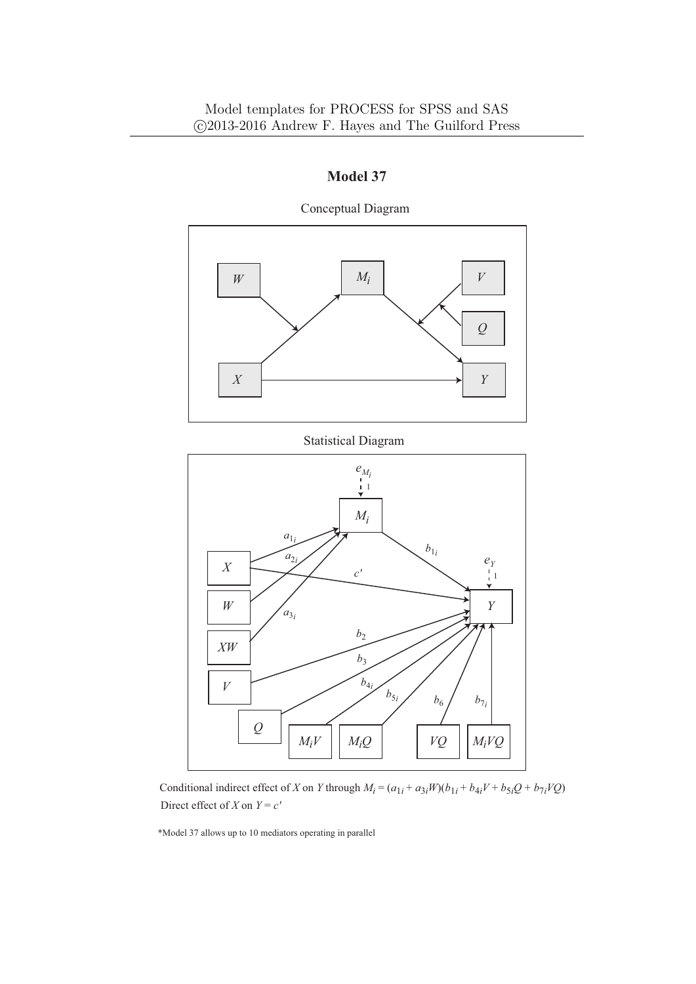

**Model 37**

Conceptual Diagram

Conditional indirect effect of X on Y through  $M_i = (a_{1i} + a_{3i}W)(b_{1i} + b_{4i}V + b_{5i}Q + b_{7i}VQ)$ Direct effect of *X* on  $Y = c'$ 

\*Model 37 allows up to 10 mediators operating in parallel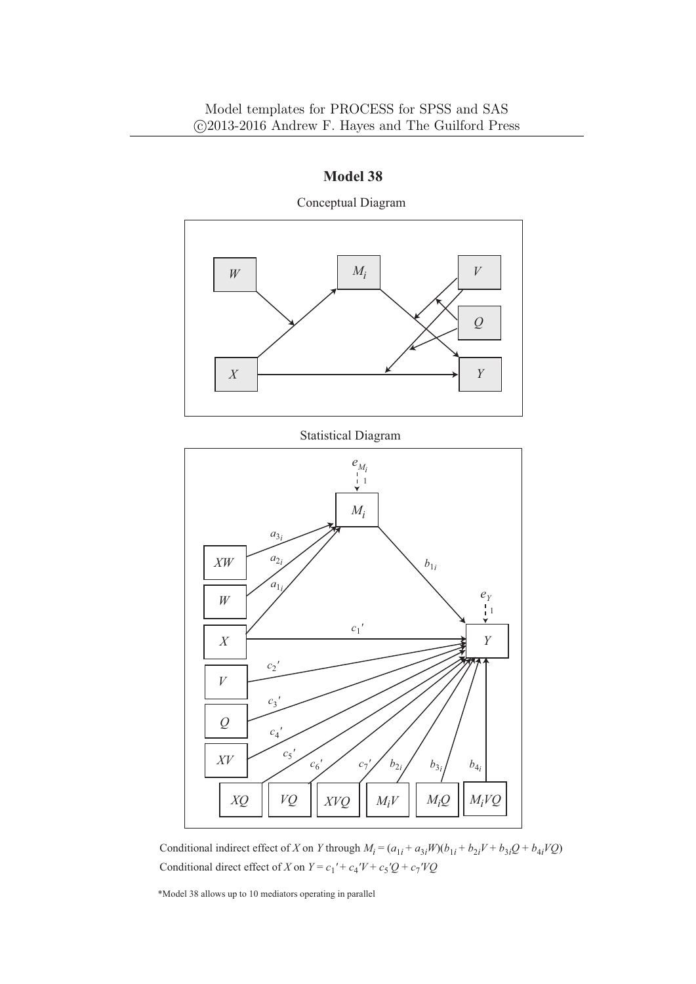

Conceptual Diagram

Conditional indirect effect of X on Y through  $M_i = (a_{1i} + a_{3i}W)(b_{1i} + b_{2i}V + b_{3i}Q + b_{4i}VQ)$ Conditional direct effect of *X* on  $Y = c_1' + c_4'V + c_5'Q + c_7'VQ$ 

\*Model 38 allows up to 10 mediators operating in parallel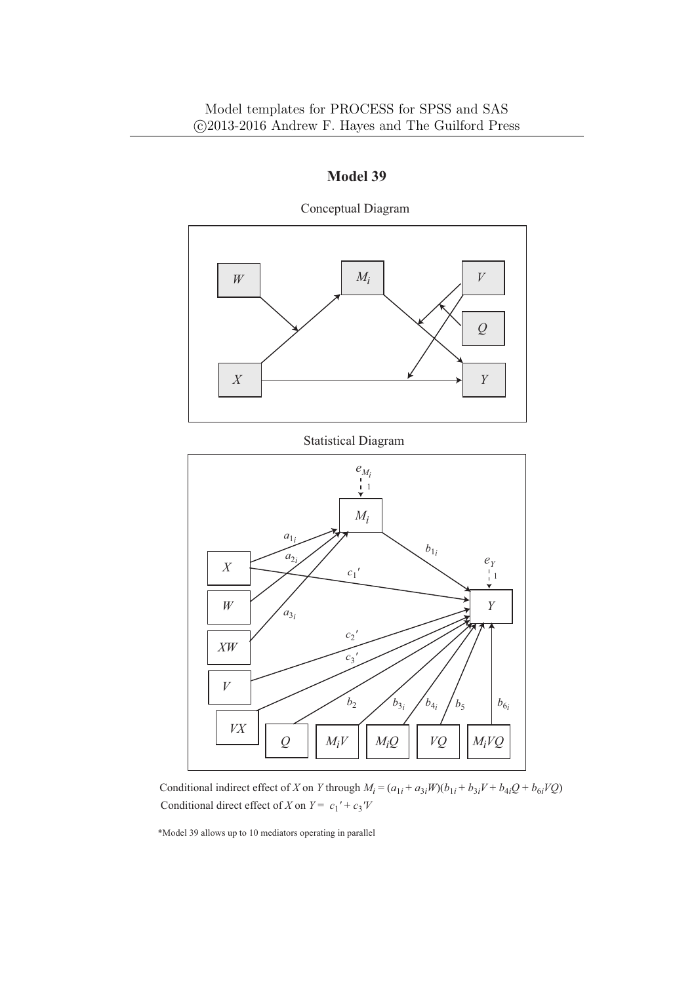

**Model 39**

Conceptual Diagram

Conditional indirect effect of X on Y through  $M_i = (a_{1i} + a_{3i}W)(b_{1i} + b_{3i}V + b_{4i}Q + b_{6i}VQ)$ Conditional direct effect of *X* on  $Y = c_1' + c_3'V$ 

\*Model 39 allows up to 10 mediators operating in parallel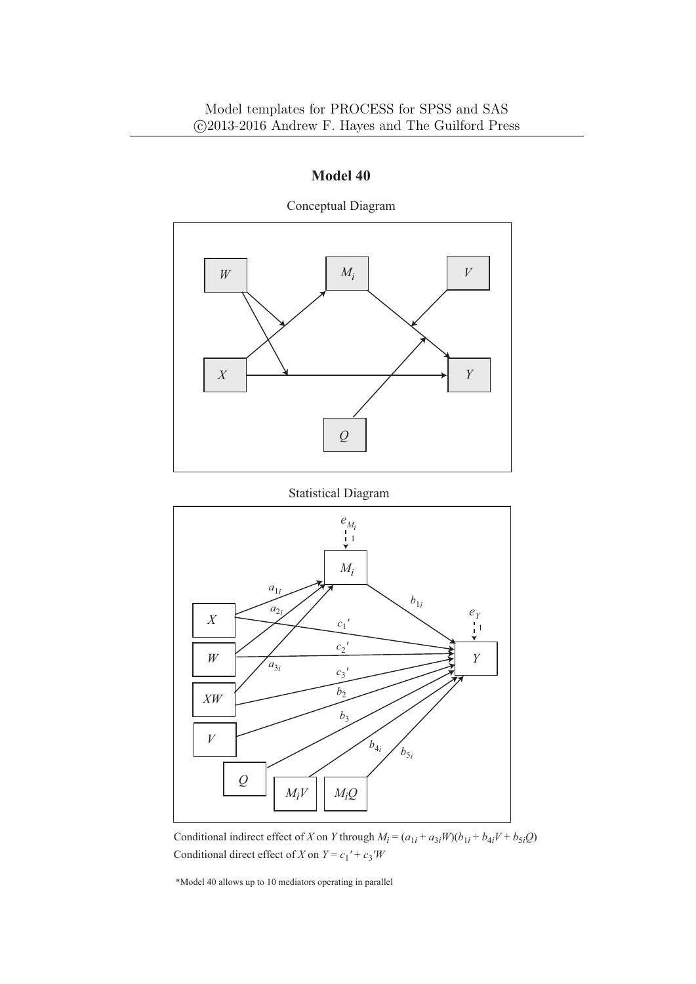

Conceptual Diagram





Conditional indirect effect of *X* on *Y* through  $M_i = (a_{1i} + a_{3i}W)(b_{1i} + b_{4i}V + b_{5i}Q)$ Conditional direct effect of *X* on  $Y = c_1' + c_3'W$ 

\*Model 40 allows up to 10 mediators operating in parallel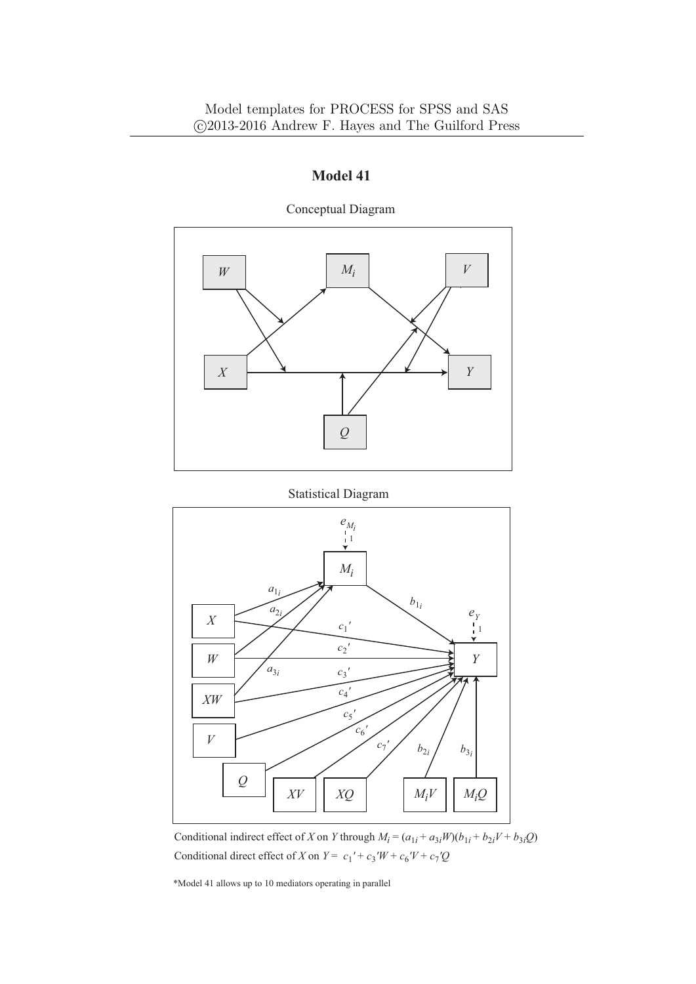

Conceptual Diagram





Conditional indirect effect of *X* on *Y* through  $M_i = (a_{1i} + a_{3i}W)(b_{1i} + b_{2i}V + b_{3i}Q)$ Conditional direct effect of *X* on  $Y = c_1' + c_3'W + c_6'V + c_7'Q$ 

\*Model 41 allows up to 10 mediators operating in parallel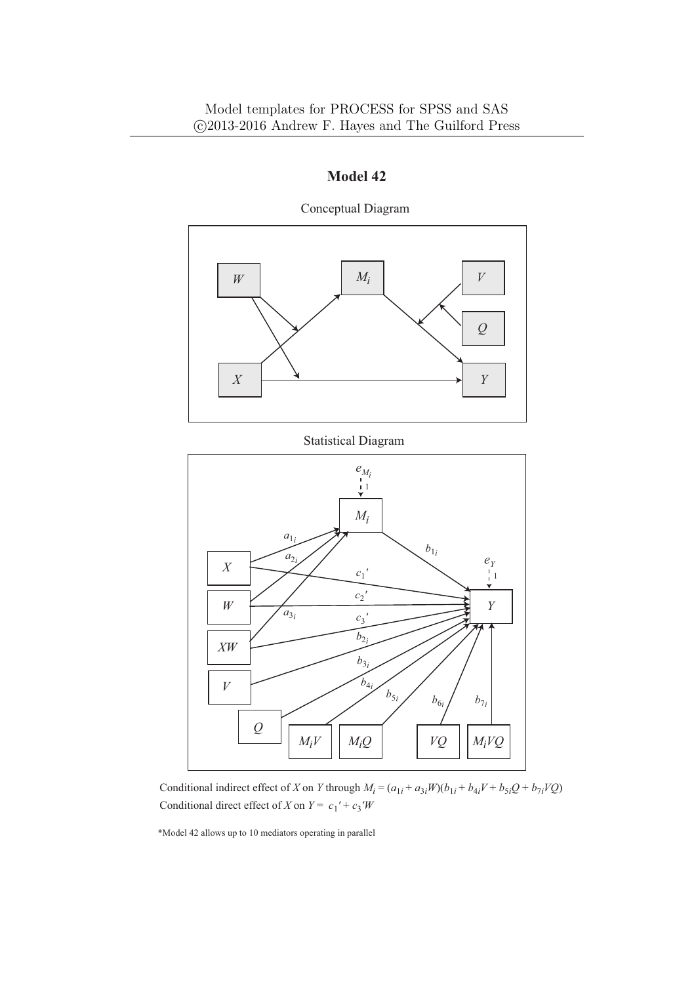

Conceptual Diagram

### Statistical Diagram



Conditional indirect effect of X on Y through  $M_i = (a_{1i} + a_{3i}W)(b_{1i} + b_{4i}V + b_{5i}Q + b_{7i}VQ)$ Conditional direct effect of *X* on  $Y = c_1' + c_3'W$ 

\*Model 42 allows up to 10 mediators operating in parallel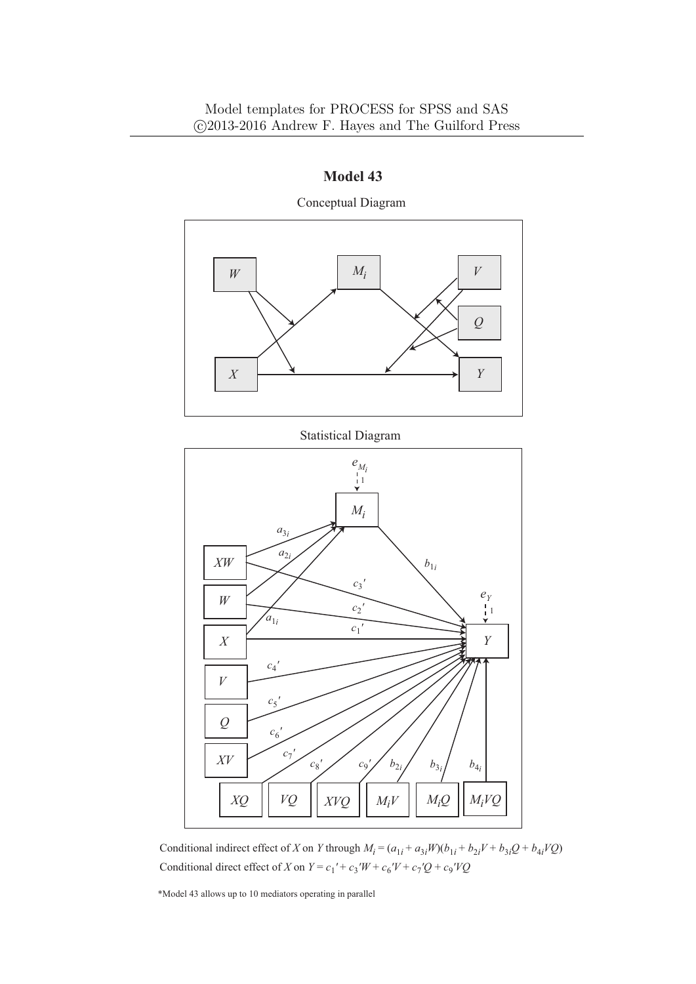

Conceptual Diagram



*c*9 *'*

 $VQ$   $\mid$   $XVO$   $\mid$   $M_iV$   $\mid$   $M_iQ$   $\mid$   $M_iVQ$ 

 $b_{2i}$  *b*<sub>3*i*</sub>

 $b_{4i}$ 

\*Model 43 allows up to 10 mediators operating in parallel

*XQ XVQ*

*c*7 *'*

*c*8 *'*

*XV*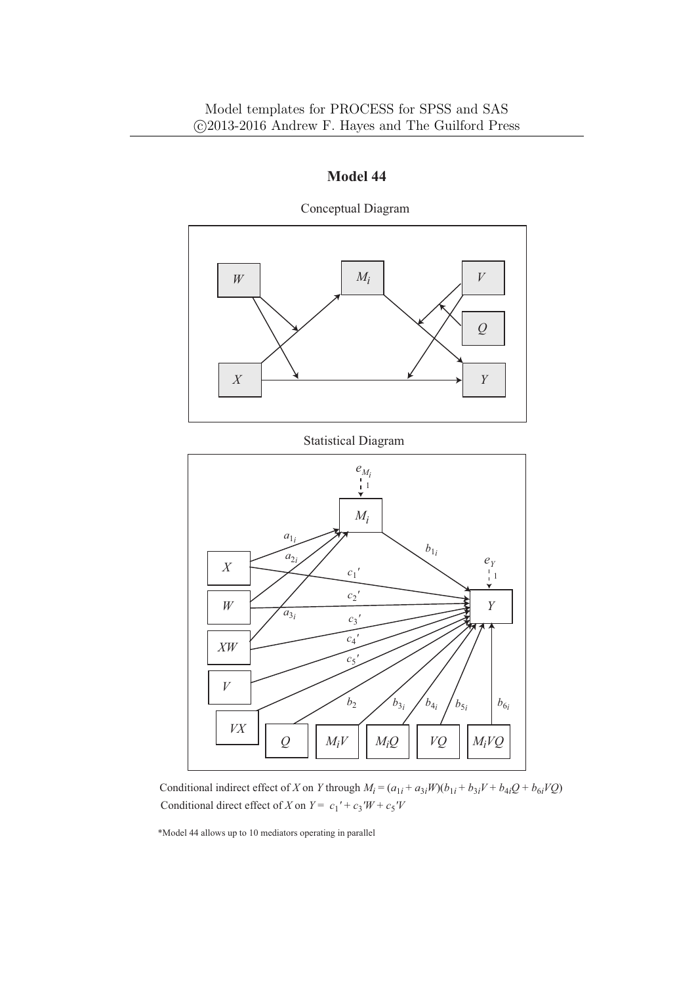

Conceptual Diagram

Statistical Diagram



Conditional indirect effect of X on Y through  $M_i = (a_{1i} + a_{3i}W)(b_{1i} + b_{3i}V + b_{4i}Q + b_{6i}VQ)$ Conditional direct effect of *X* on  $Y = c_1' + c_3'W + c_5'V$ 

\*Model 44 allows up to 10 mediators operating in parallel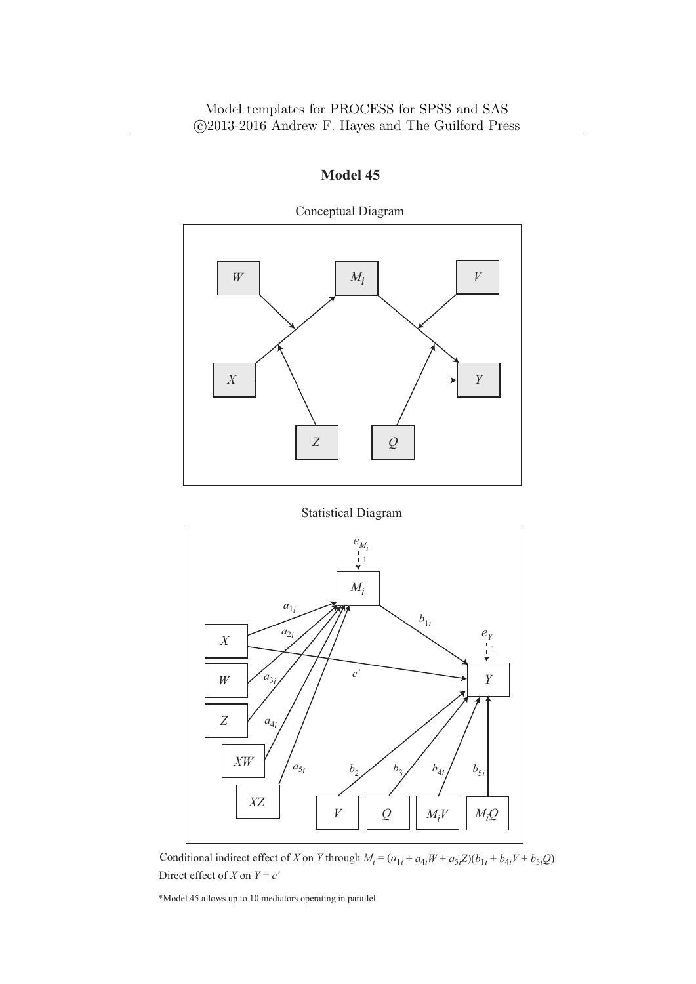

Statistical Diagram



Conditional indirect effect of X on Y through  $M_i = (a_{1i} + a_{4i}W + a_{5i}Z)(b_{1i} + b_{4i}V + b_{5i}Q)$ Direct effect of *X* on  $Y = c'$ 

\*Model 45 allows up to 10 mediators operating in parallel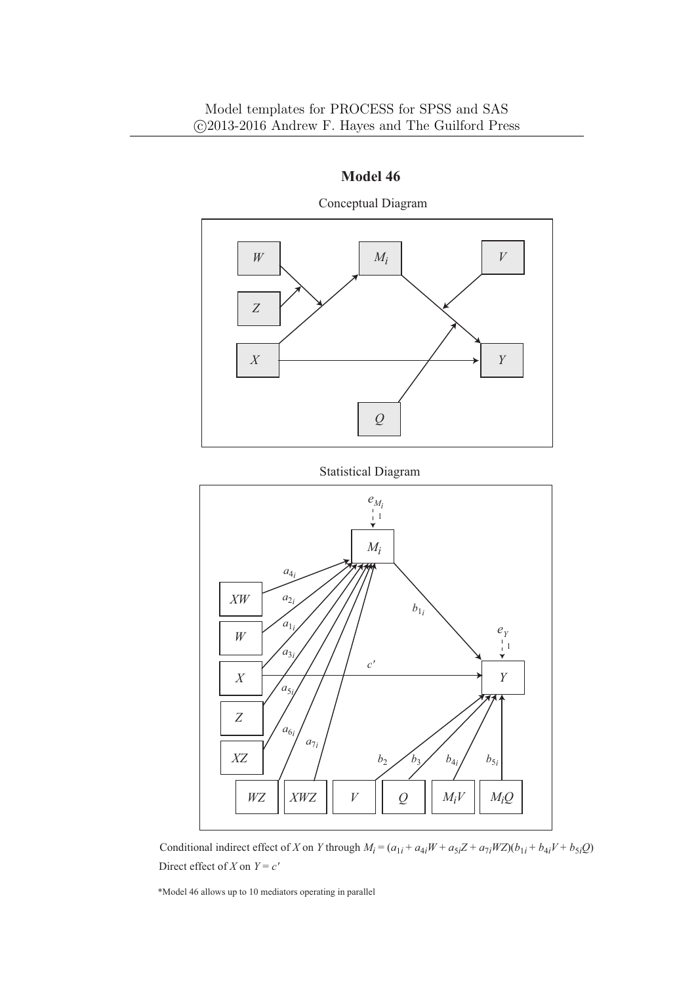





Conditional indirect effect of X on Y through  $M_i = (a_{1i} + a_{4i}W + a_{5i}Z + a_{7i}WZ)(b_{1i} + b_{4i}V + b_{5i}Q)$ Direct effect of *X* on  $Y = c'$ 

\*Model 46 allows up to 10 mediators operating in parallel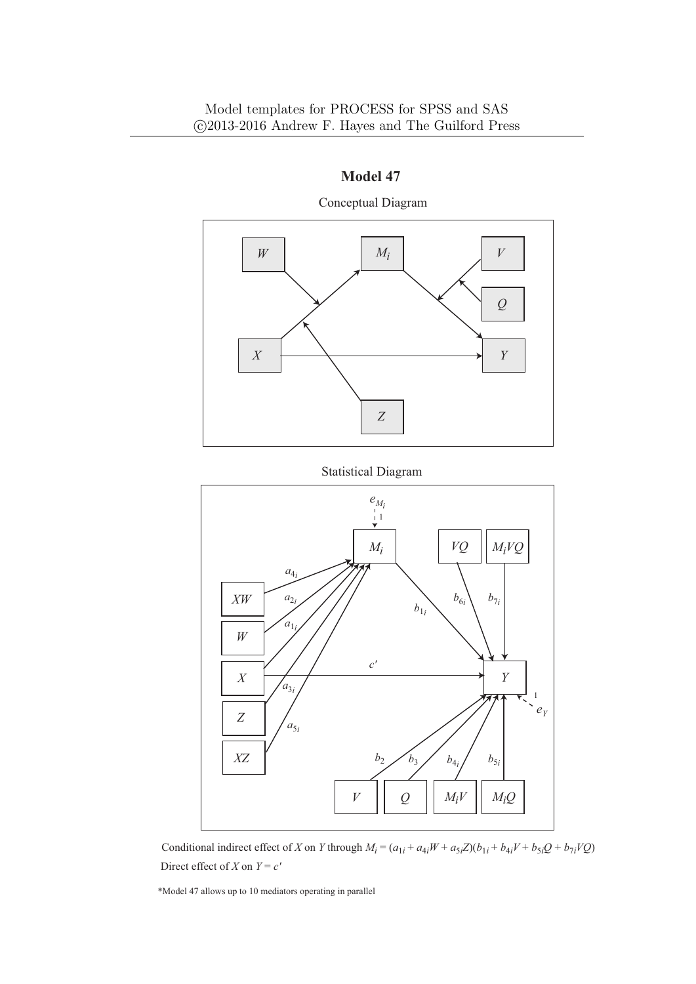

**Model 47** Conceptual Diagram



Statistical Diagram

Conditional indirect effect of X on Y through  $M_i = (a_{1i} + a_{4i}W + a_{5i}Z)(b_{1i} + b_{4i}V + b_{5i}Q + b_{7i}VQ)$ Direct effect of *X* on  $Y = c'$ 

\*Model 47 allows up to 10 mediators operating in parallel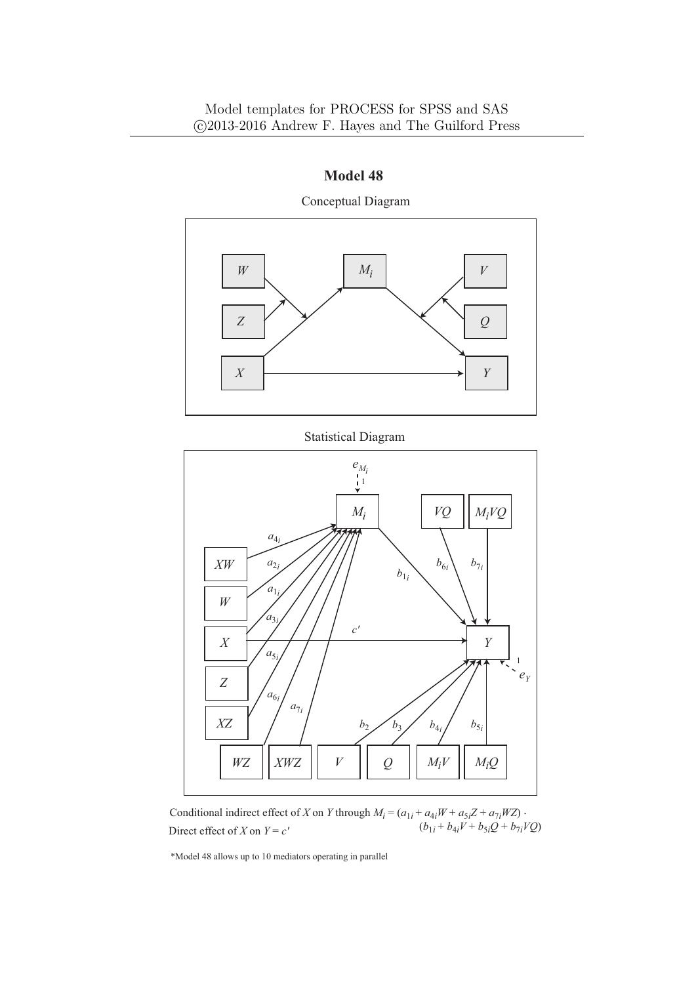

Conceptual Diagram

Statistical Diagram



Conditional indirect effect of *X* on *Y* through  $M_i = (a_{1i} + a_{4i}W + a_{5i}Z + a_{7i}WZ)$ . Direct effect of X on  $Y = c'$   $(b_{1i} + b_{4i}V + b_{5i}Q + b_{7i}VQ)$ Direct effect of *X* on  $Y = c'$ 

\*Model 48 allows up to 10 mediators operating in parallel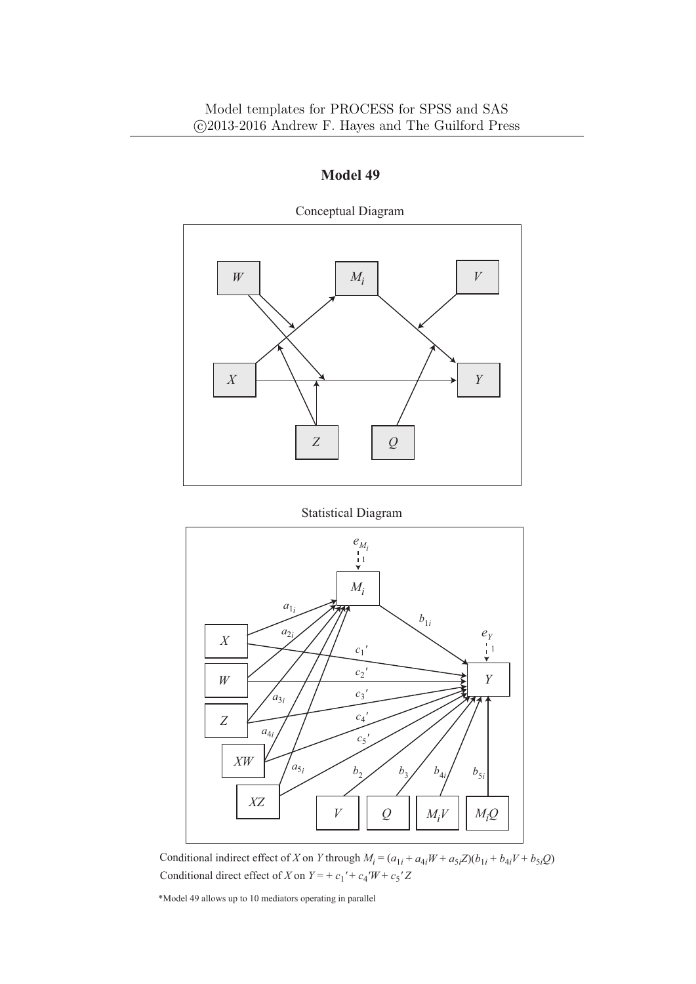

Conceptual Diagram

Statistical Diagram



Conditional indirect effect of X on Y through  $M_i = (a_{1i} + a_{4i}W + a_{5i}Z)(b_{1i} + b_{4i}V + b_{5i}Q)$ Conditional direct effect of *X* on  $Y = + c_1' + c_4'W + c_5'Z$ 

\*Model 49 allows up to 10 mediators operating in parallel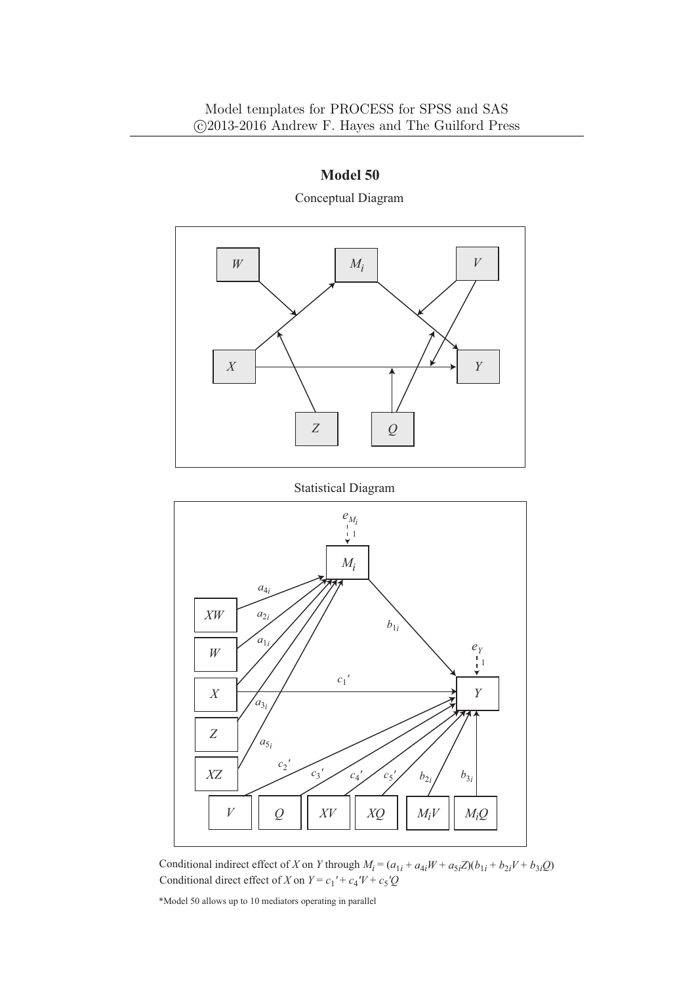

**Model 50** Conceptual Diagram





Conditional indirect effect of X on Y through  $M_i = (a_{1i} + a_{4i}W + a_{5i}Z)(b_{1i} + b_{2i}V + b_{3i}Q)$ Conditional direct effect of *X* on  $Y = c_1' + c_4'V + c_5'Q$ 

\*Model 50 allows up to 10 mediators operating in parallel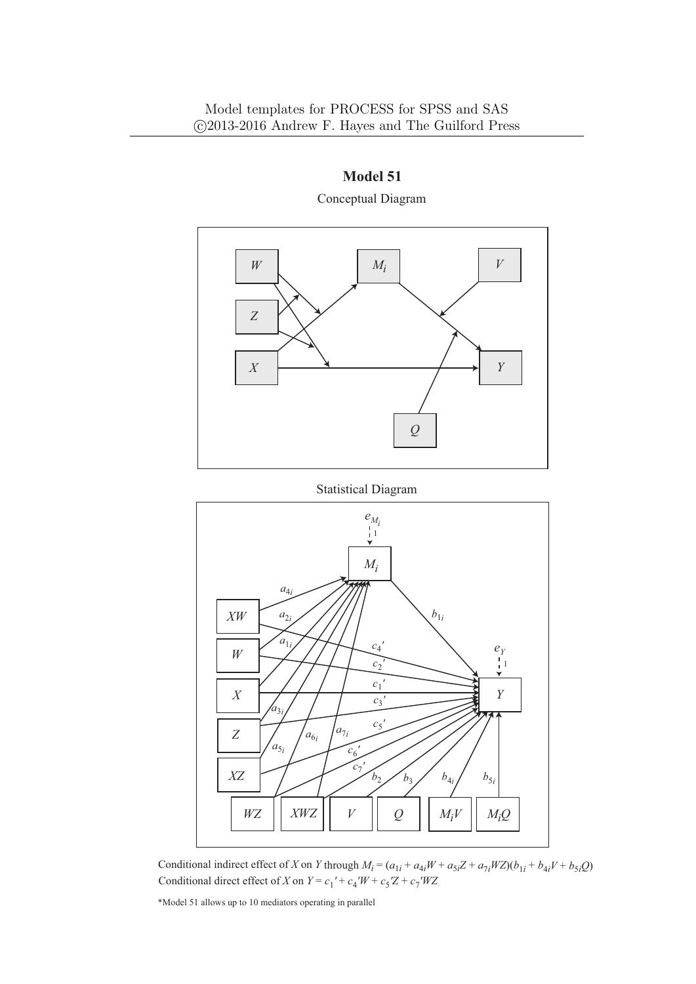

## **Model 51** Conceptual Diagram

Statistical Diagram



Conditional indirect effect of X on Y through  $M_i = (a_{1i} + a_{4i}W + a_{5i}Z + a_{7i}WZ)(b_{1i} + b_{4i}V + b_{5i}Q)$ Conditional direct effect of *X* on  $Y = c_1' + c_4'W + c_5'Z + c_7'WZ$ 

\*Model 51 allows up to 10 mediators operating in parallel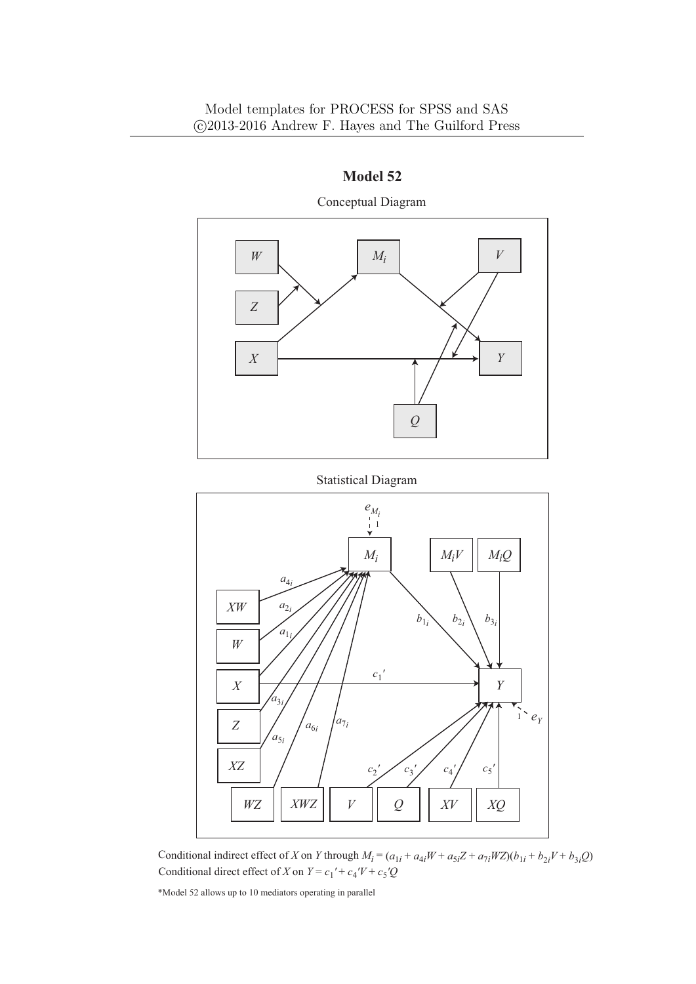

Conceptual Diagram

#### Statistical Diagram



Conditional indirect effect of X on Y through  $M_i = (a_{1i} + a_{4i}W + a_{5i}Z + a_{7i}WZ)(b_{1i} + b_{2i}V + b_{3i}Q)$ Conditional direct effect of *X* on  $Y = c_1' + c_4'V + c_5'Q$ 

\*Model 52 allows up to 10 mediators operating in parallel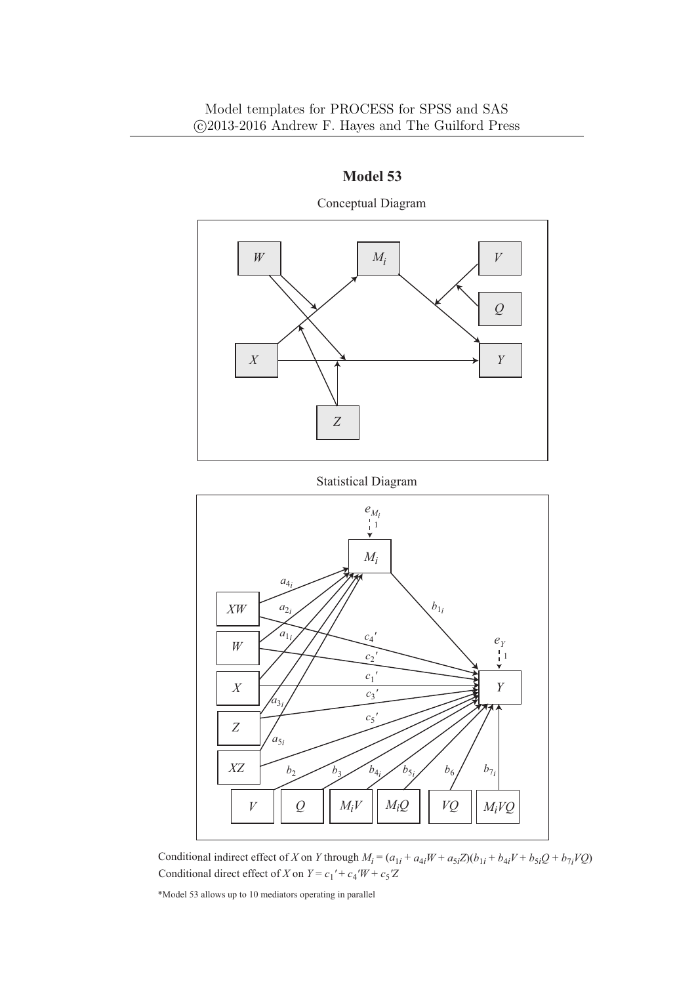

Conceptual Diagram





Conditional indirect effect of X on Y through  $M_i = (a_{1i} + a_{4i}W + a_{5i}Z)(b_{1i} + b_{4i}V + b_{5i}Q + b_{7i}VQ)$ Conditional direct effect of *X* on  $Y = c_1' + c_4'W + c_5'Z$ 

\*Model 53 allows up to 10 mediators operating in parallel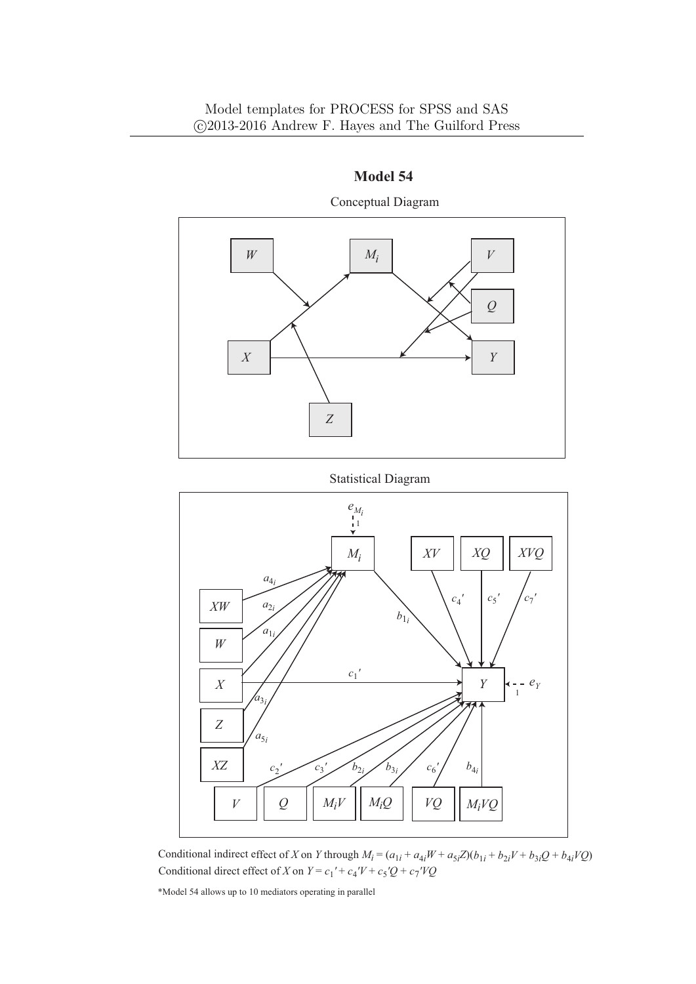

Conceptual Diagram





Conditional indirect effect of X on Y through  $M_i = (a_{1i} + a_{4i}W + a_{5i}Z)(b_{1i} + b_{2i}V + b_{3i}Q + b_{4i}VQ)$ Conditional direct effect of *X* on  $Y = c_1' + c_4'V + c_5'Q + c_7'VQ$ 

\*Model 54 allows up to 10 mediators operating in parallel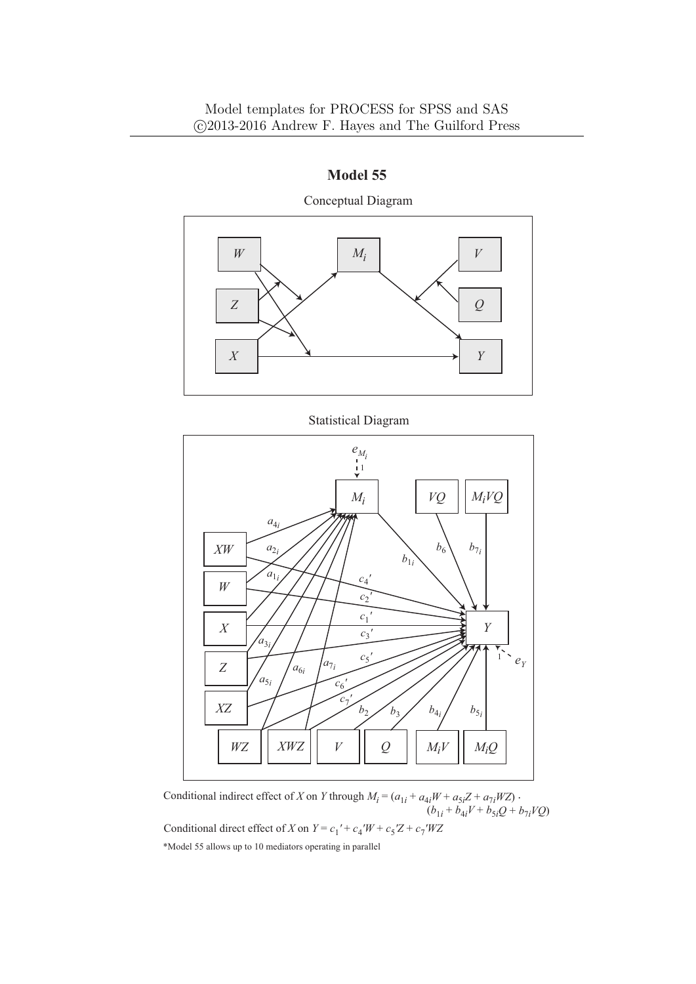



*V*

 $c_6$ <sup>'</sup> *c*7 *'*

 $XZ$  **b**<sub>2</sub> **b**<sub>2</sub> **b**<sub>3</sub> **b**<sub>4*i*</sub>

 $a_{5i}$ 

*WZ XWZ*

*Q*

 $b_2 \nearrow b_3$ 

 $M_iV$  |  $M_iQ$ 

 $b_{5i}$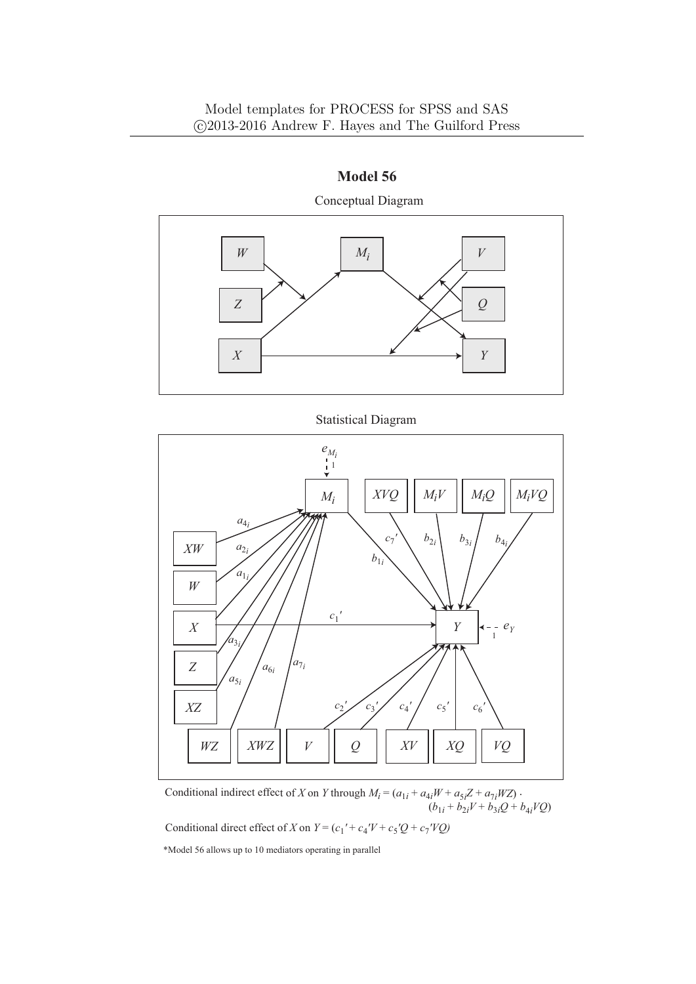### Model templates for PROCESS for SPSS and SAS *⃝*c 2013-2016 Andrew F. Hayes and The Guilford Press



**Model 56** Conceptual Diagram

Statistical Diagram



Conditional indirect effect of *X* on *Y* through  $M_i = (a_{1i} + a_{4i}W + a_{5i}Z + a_{7i}WZ)$ .  $(b_{1i} + b_{2i}V + b_{3i}Q + b_{4i}VQ)$ 

Conditional direct effect of *X* on  $Y = (c_1' + c_4'V + c_5'Q + c_7'VQ)$ 

\*Model 56 allows up to 10 mediators operating in parallel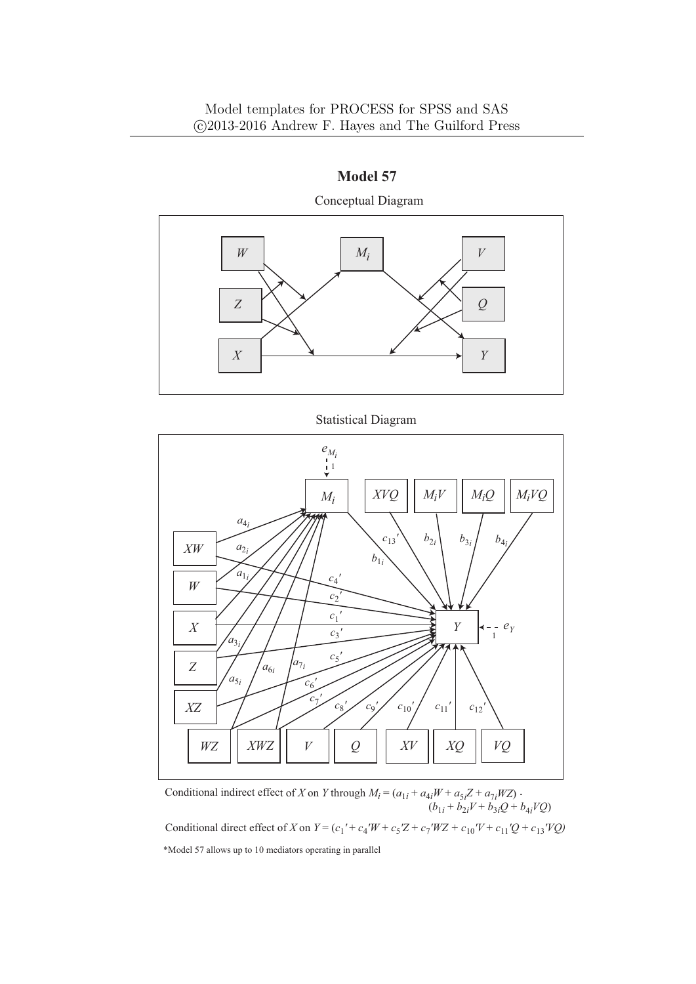

Statistical Diagram



Conditional indirect effect of *X* on *Y* through  $M_i = (a_{1i} + a_{4i}W + a_{5i}Z + a_{7i}WZ)$ .  $(b_{1i} + b_{2i}V + b_{3i}Q + b_{4i}VQ)$ \*Model 57 allows up to 10 mediators operating in parallel Conditional direct effect of *X* on  $Y = (c_1' + c_4'W + c_5'Z + c_7'WZ + c_{10}'V + c_{11}'Q + c_{13}'VQ)$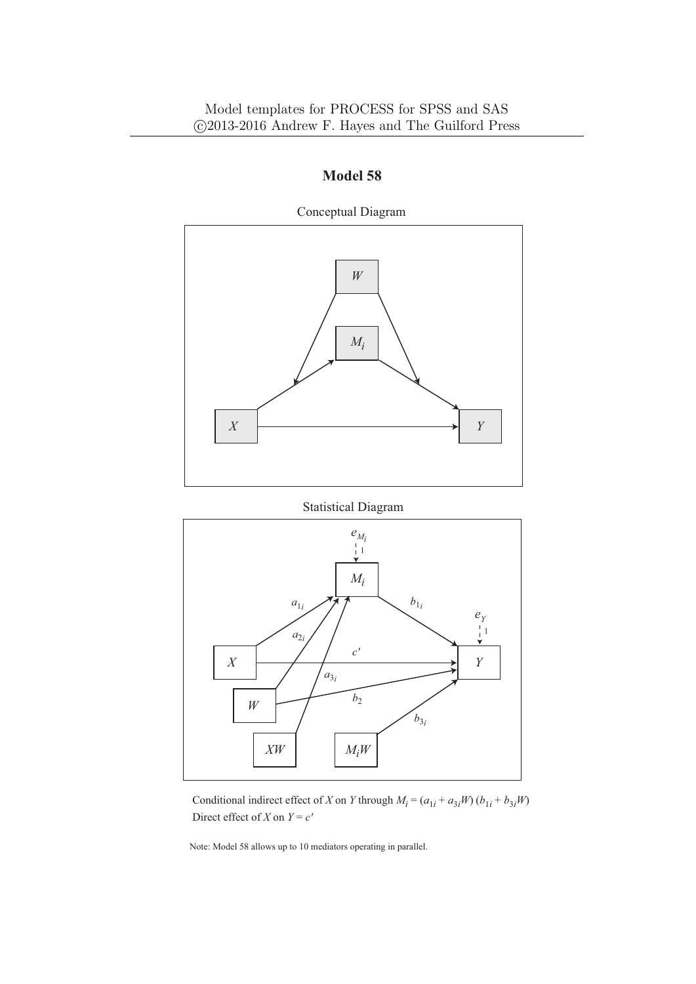

Statistical Diagram



Conditional indirect effect of *X* on *Y* through  $M_i = (a_{1i} + a_{3i}W)(b_{1i} + b_{3i}W)$ Direct effect of *X* on  $Y = c'$ 

Note: Model 58 allows up to 10 mediators operating in parallel.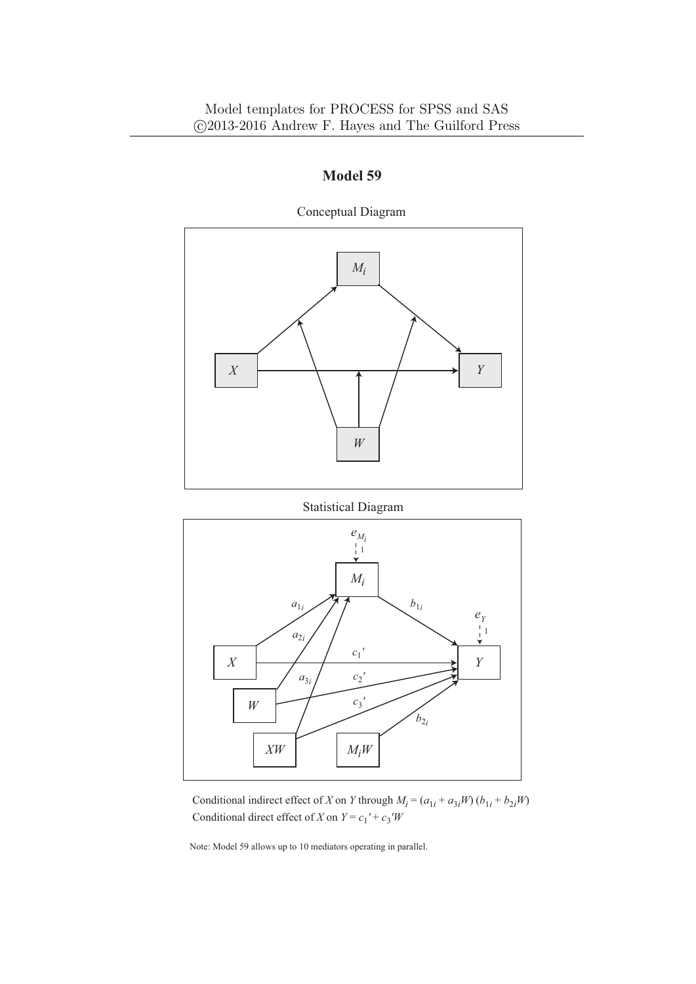

Conceptual Diagram

Statistical Diagram



Conditional indirect effect of *X* on *Y* through  $M_i = (a_{1i} + a_{3i}W)(b_{1i} + b_{2i}W)$ Conditional direct effect of *X* on  $Y = c_1' + c_3'W$ 

Note: Model 59 allows up to 10 mediators operating in parallel.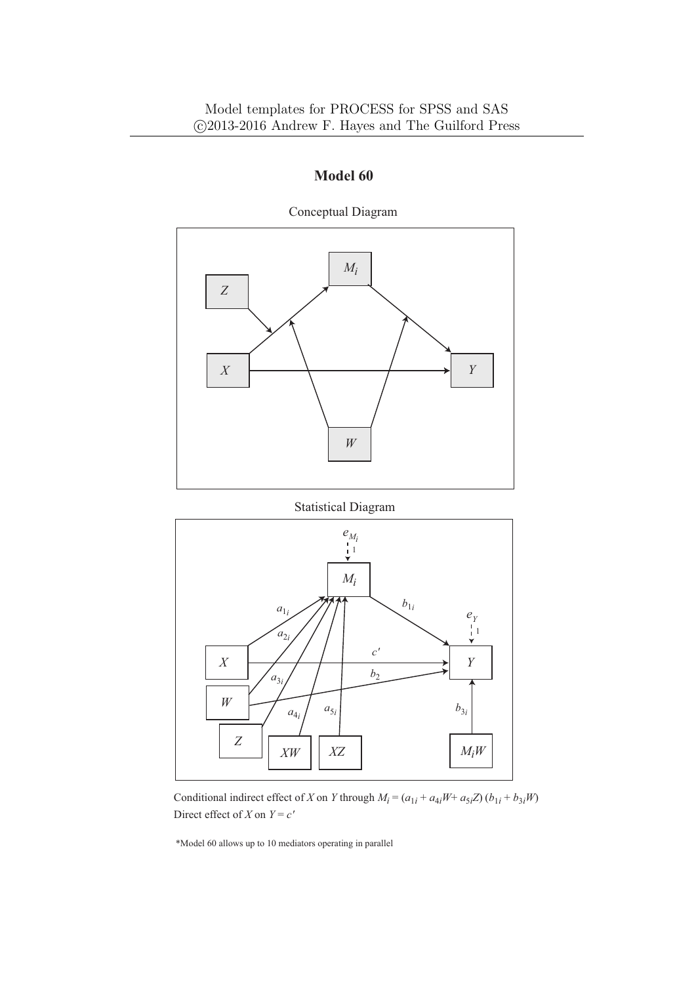

Conceptual Diagram

Statistical Diagram



Conditional indirect effect of *X* on *Y* through  $M_i = (a_{1i} + a_{4i}W + a_{5i}Z)(b_{1i} + b_{3i}W)$ Direct effect of *X* on  $Y = c'$ 

\*Model 60 allows up to 10 mediators operating in parallel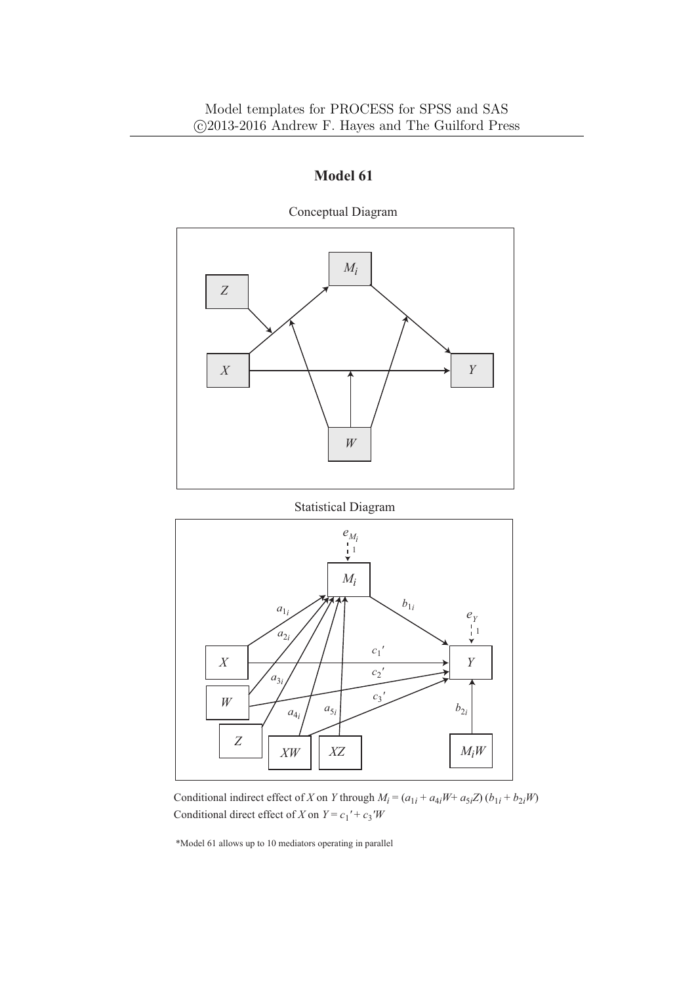

Conceptual Diagram

Statistical Diagram



Conditional indirect effect of *X* on *Y* through  $M_i = (a_{1i} + a_{4i}W + a_{5i}Z)(b_{1i} + b_{2i}W)$ Conditional direct effect of *X* on  $Y = c_1' + c_3'W$ 

\*Model 61 allows up to 10 mediators operating in parallel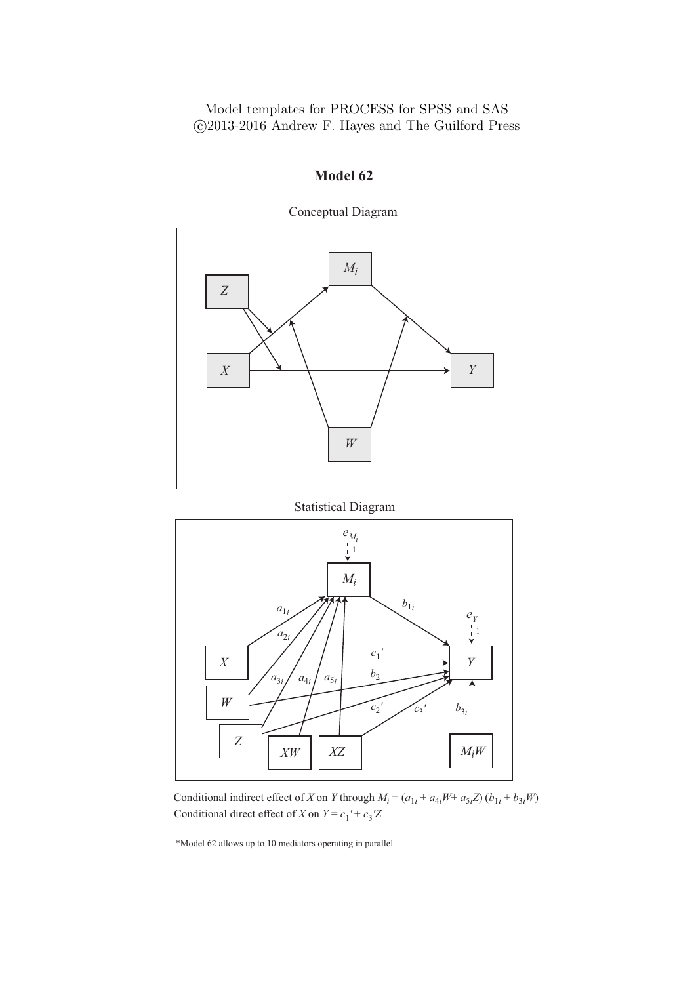

Conceptual Diagram

Statistical Diagram



Conditional indirect effect of *X* on *Y* through  $M_i = (a_{1i} + a_{4i}W + a_{5i}Z)(b_{1i} + b_{3i}W)$ Conditional direct effect of *X* on  $Y = c_1' + c_3'Z$ 

\*Model 62 allows up to 10 mediators operating in parallel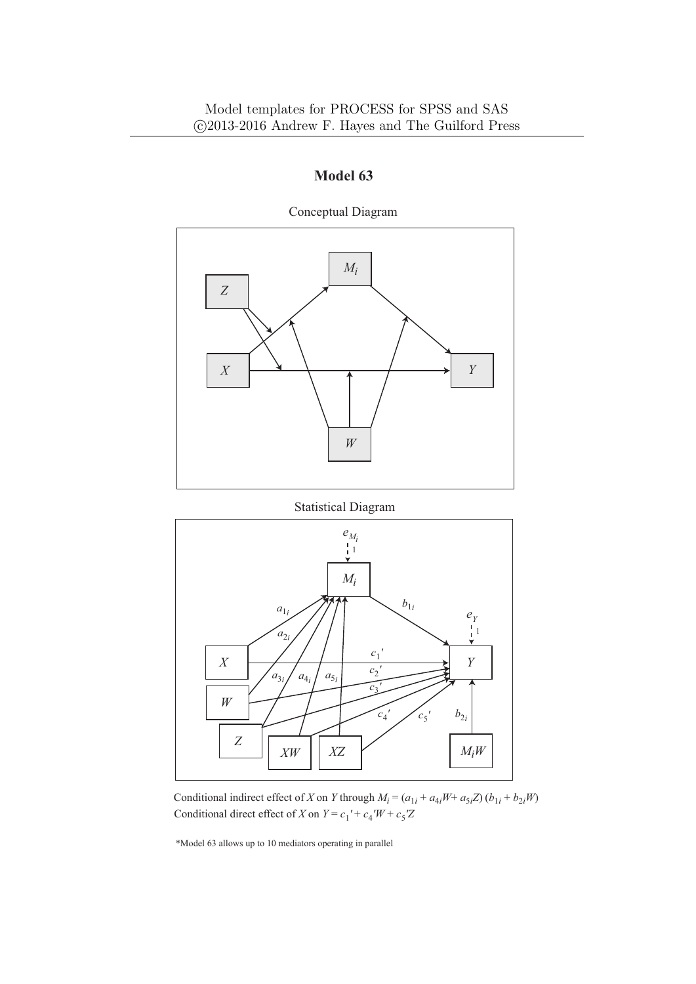

Conceptual Diagram

Statistical Diagram



Conditional indirect effect of *X* on *Y* through  $M_i = (a_{1i} + a_{4i}W + a_{5i}Z)(b_{1i} + b_{2i}W)$ Conditional direct effect of *X* on  $Y = c_1' + c_4'W + c_5'Z$ 

\*Model 63 allows up to 10 mediators operating in parallel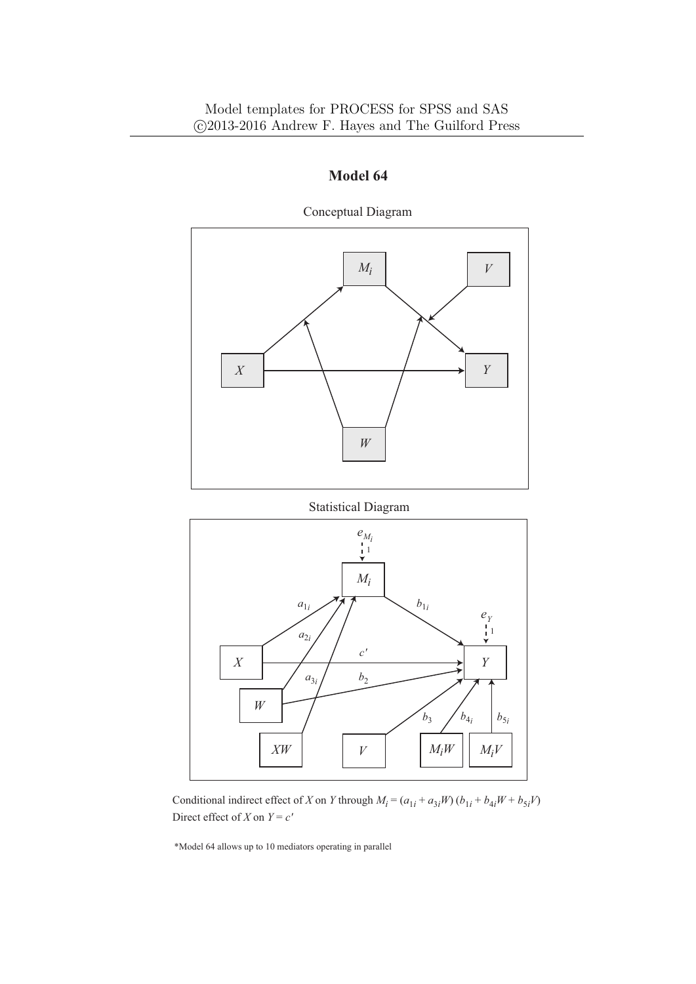

Conceptual Diagram

Statistical Diagram



Conditional indirect effect of *X* on *Y* through  $M_i = (a_{1i} + a_{3i}W)(b_{1i} + b_{4i}W + b_{5i}V)$ Direct effect of *X* on  $Y = c'$ 

\*Model 64 allows up to 10 mediators operating in parallel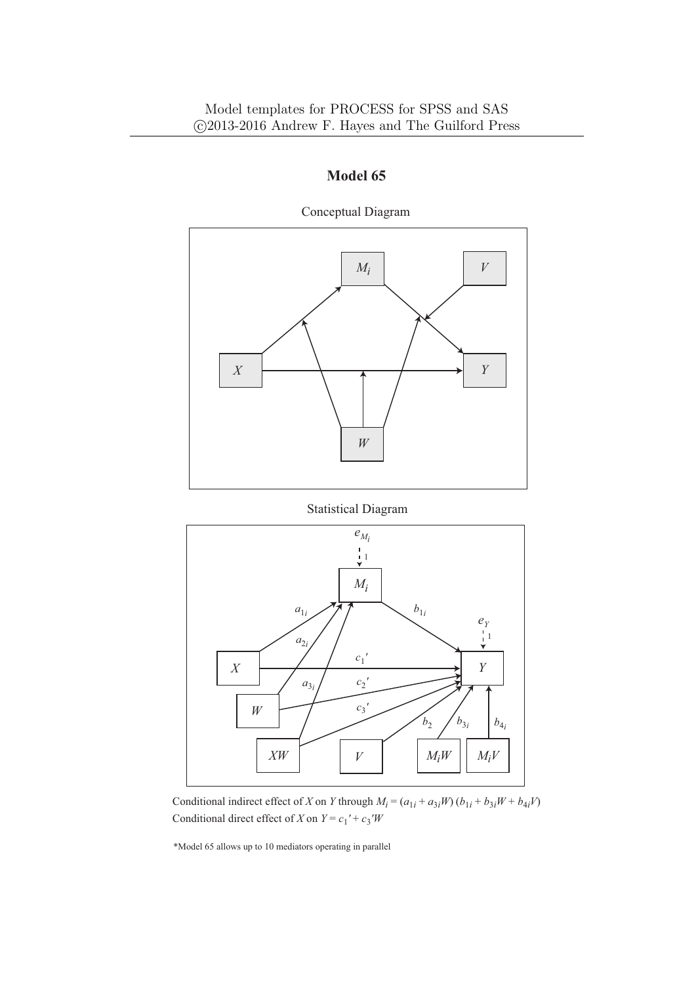

Conceptual Diagram

Statistical Diagram



Conditional direct effect of *X* on  $Y = c_1' + c_3'W$ Conditional indirect effect of *X* on *Y* through  $M_i = (a_{1i} + a_{3i}W)(b_{1i} + b_{3i}W + b_{4i}V)$ 

\*Model 65 allows up to 10 mediators operating in parallel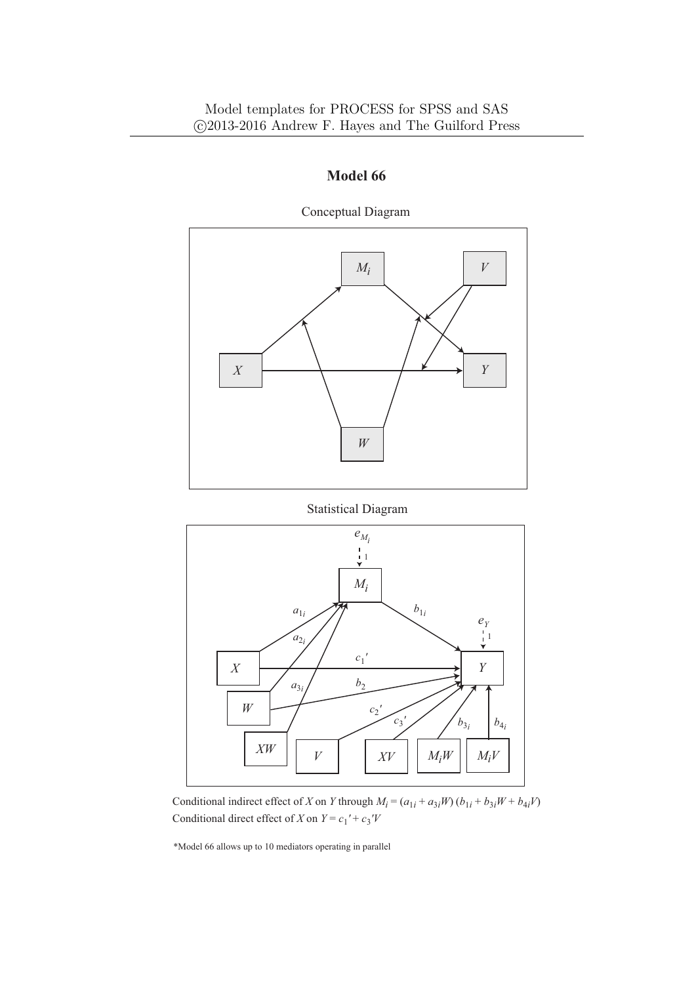

Conceptual Diagram

Statistical Diagram



Conditional direct effect of *X* on  $Y = c_1' + c_3'V$ Conditional indirect effect of *X* on *Y* through  $M_i = (a_{1i} + a_{3i}W)(b_{1i} + b_{3i}W + b_{4i}V)$ 

\*Model 66 allows up to 10 mediators operating in parallel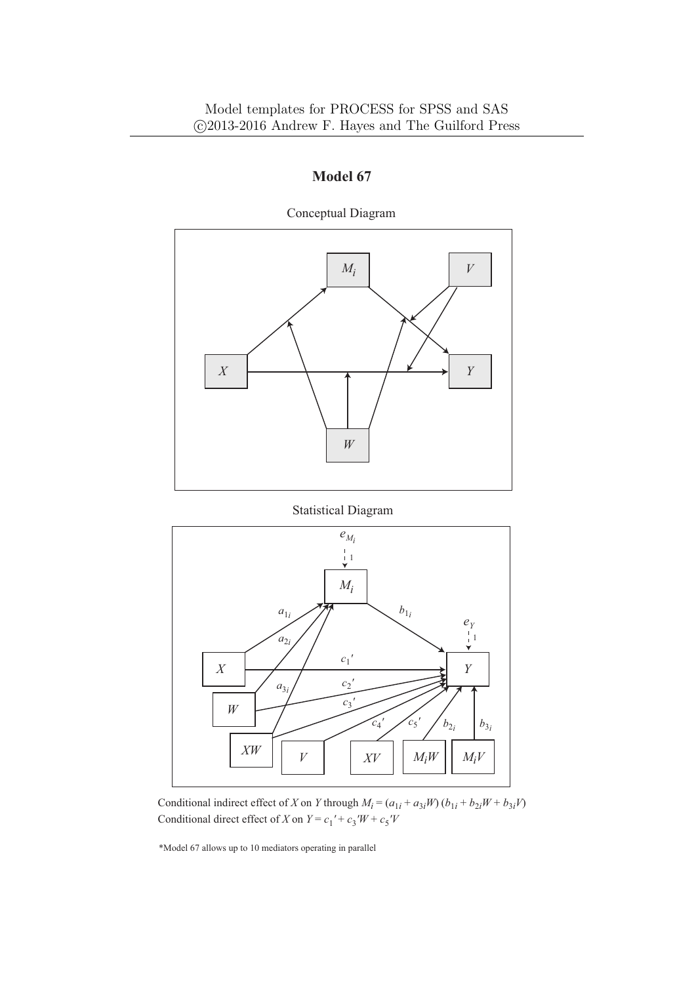

Conceptual Diagram

Statistical Diagram



Conditional direct effect of *X* on  $Y = c_1' + c_3'W + c_5'V$ Conditional indirect effect of *X* on *Y* through  $M_i = (a_{1i} + a_{3i}W)(b_{1i} + b_{2i}W + b_{3i}V)$ 

\*Model 67 allows up to 10 mediators operating in parallel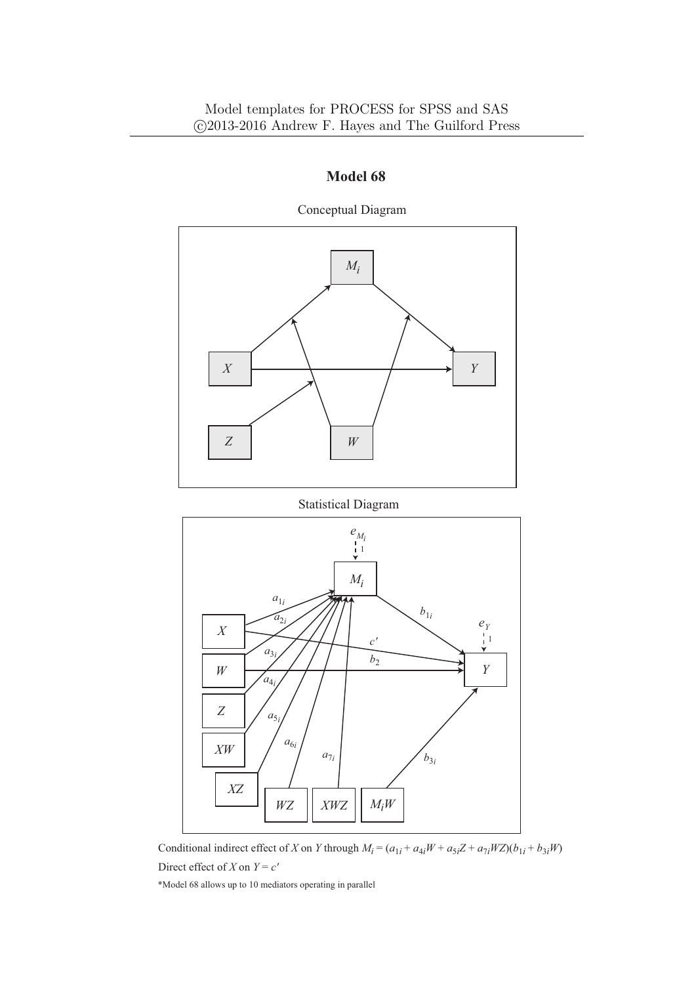

Conceptual Diagram

Statistical Diagram



Conditional indirect effect of X on Y through  $M_i = (a_{1i} + a_{4i}W + a_{5i}Z + a_{7i}WZ)(b_{1i} + b_{3i}W)$ Direct effect of *X* on  $Y = c'$ 

\*Model 68 allows up to 10 mediators operating in parallel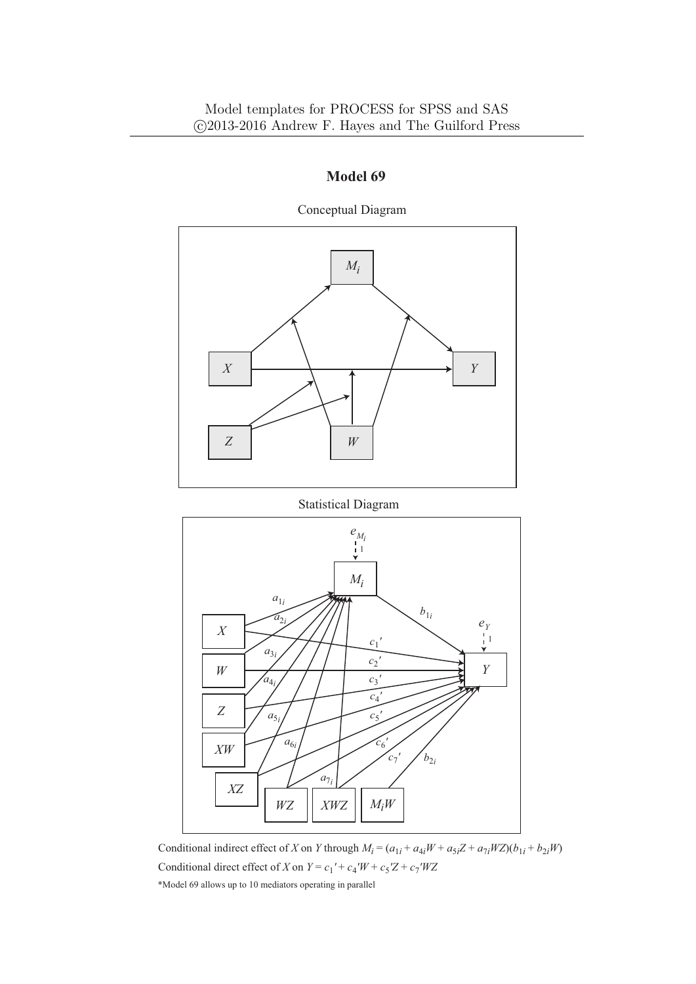

Conceptual Diagram

Statistical Diagram



\*Model 69 allows up to 10 mediators operating in parallel Conditional indirect effect of X on Y through  $M_i = (a_{1i} + a_{4i}W + a_{5i}Z + a_{7i}WZ)(b_{1i} + b_{2i}W)$ Conditional direct effect of *X* on  $Y = c_1' + c_4'W + c_5'Z + c_7'WZ$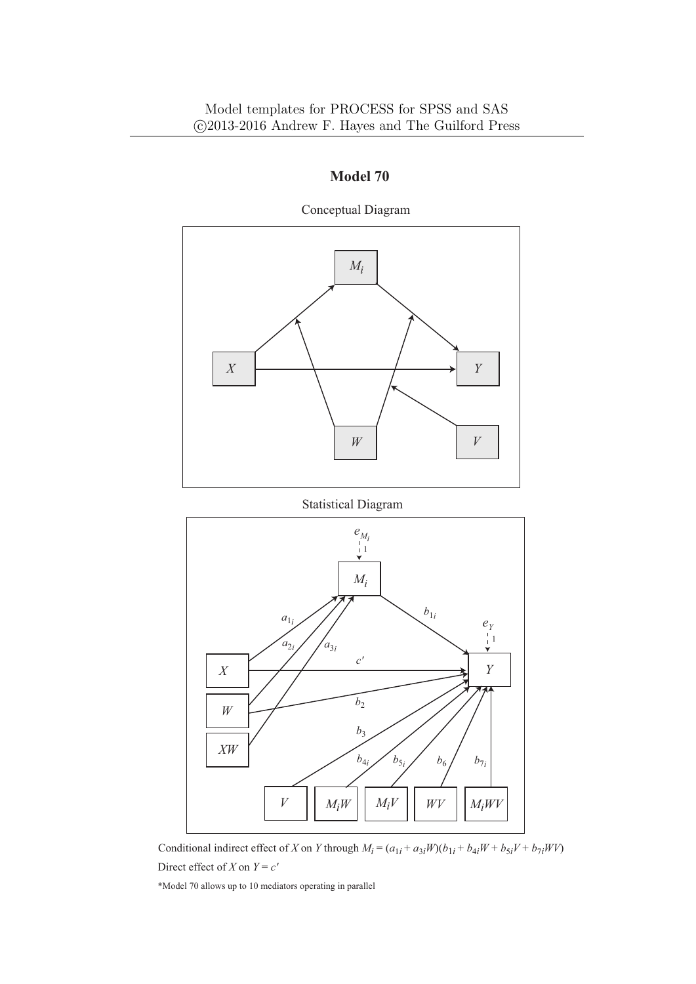

Conceptual Diagram

Statistical Diagram



Conditional indirect effect of X on Y through  $M_i = (a_{1i} + a_{3i}W)(b_{1i} + b_{4i}W + b_{5i}V + b_{7i}WV)$ Direct effect of *X* on  $Y = c'$ 

\*Model 70 allows up to 10 mediators operating in parallel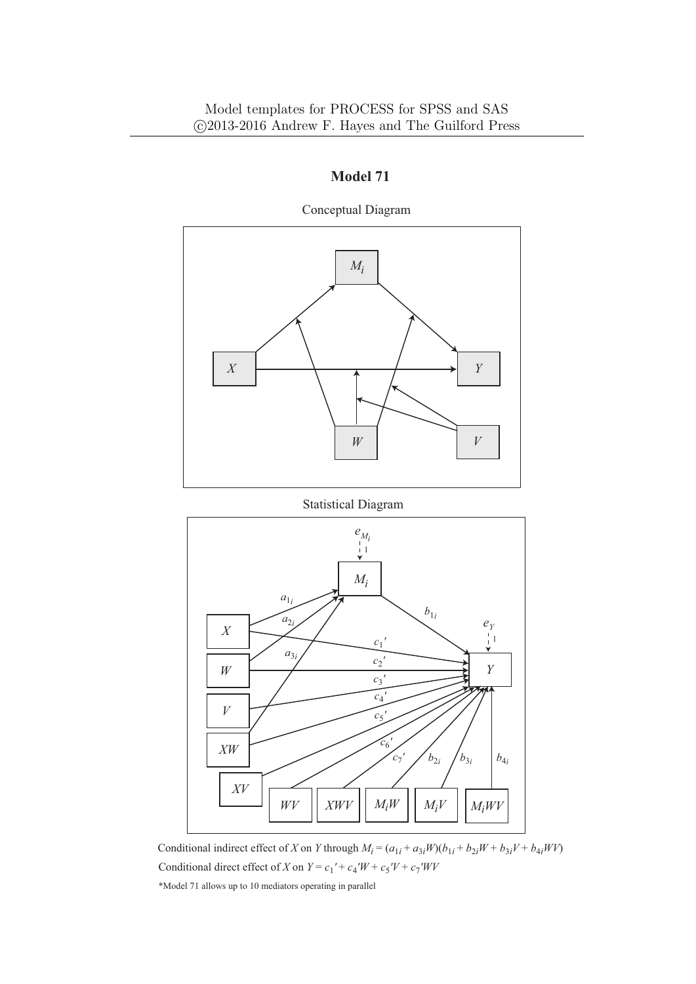

Conceptual Diagram

Statistical Diagram



Conditional indirect effect of X on Y through  $M_i = (a_{1i} + a_{3i}W)(b_{1i} + b_{2i}W + b_{3i}V + b_{4i}WV)$ Conditional direct effect of *X* on  $Y = c_1' + c_4'W + c_5'V + c_7'WV$ 

\*Model 71 allows up to 10 mediators operating in parallel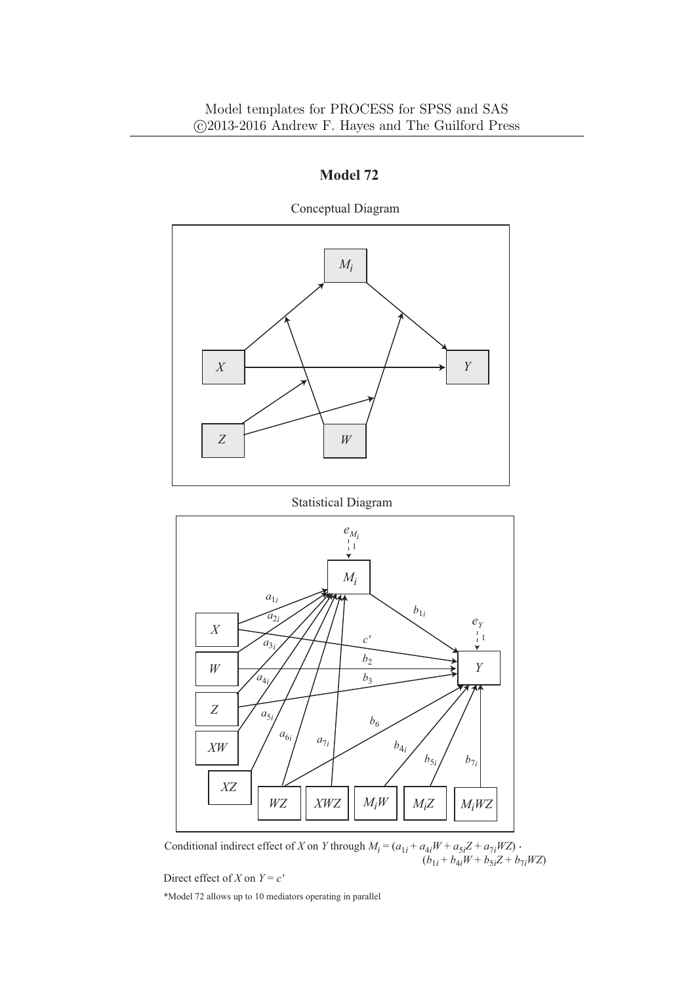

Conceptual Diagram

Statistical Diagram



Conditional indirect effect of *X* on *Y* through  $M_i = (a_{1i} + a_{4i}W + a_{5i}Z + a_{7i}WZ)$ .  $(b_{1i} + b_{4i}W + b_{5i}Z + b_{7i}WZ)$ 

Direct effect of *X* on  $Y = c'$ 

\*Model 72 allows up to 10 mediators operating in parallel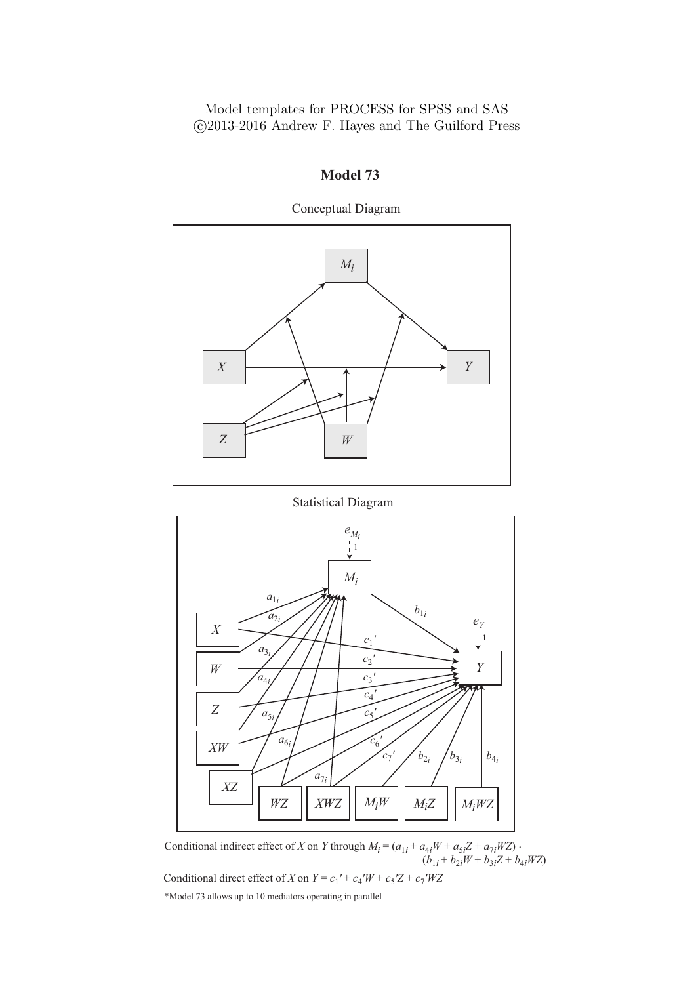

**Model 73**

Conceptual Diagram

Statistical Diagram



Conditional indirect effect of *X* on *Y* through  $M_i = (a_{1i} + a_{4i}W + a_{5i}Z + a_{7i}WZ)$ .  $(b_{1i} + b_{2i}W + b_{3i}Z + b_{4i}WZ)$ Conditional direct effect of *X* on  $Y = c_1' + c_4'W + c_5'Z + c_7'WZ$ 

\*Model 73 allows up to 10 mediators operating in parallel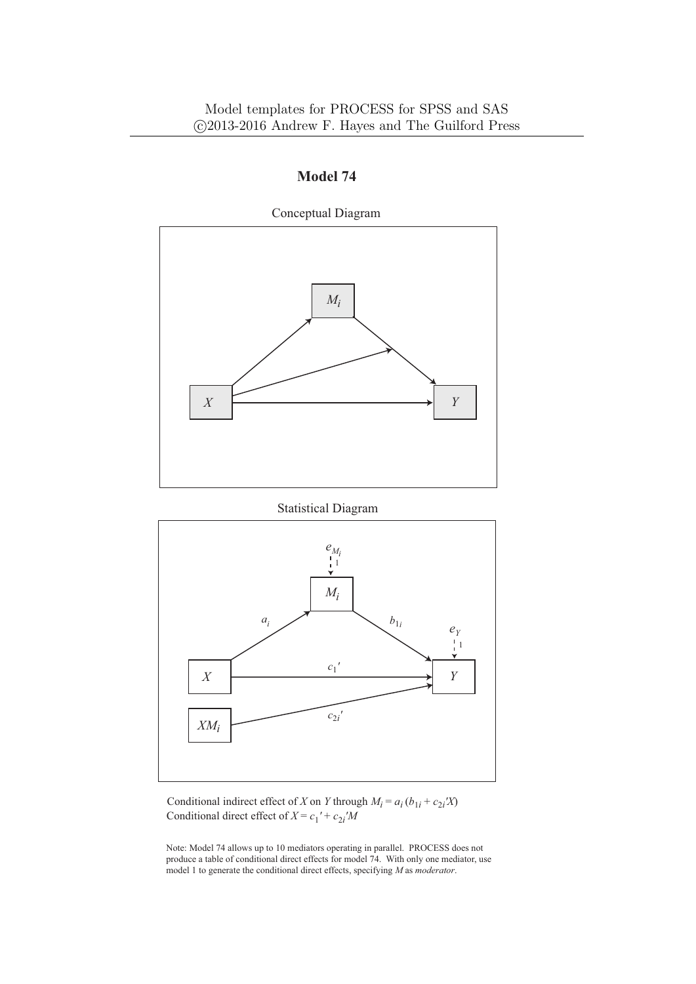# $M_i$  $X \xrightarrow{Y} Y$ Conceptual Diagram

# **Model 74**





Conditional indirect effect of *X* on *Y* through  $M_i = a_i (b_{1i} + c_{2i} X)$ Conditional direct effect of  $X = c_1' + c_2'$ *M* 

Note: Model 74 allows up to 10 mediators operating in parallel. PROCESS does not produce a table of conditional direct effects for model 74. With only one mediator, use model 1 to generate the conditional direct effects, specifying *M* as *moderator*.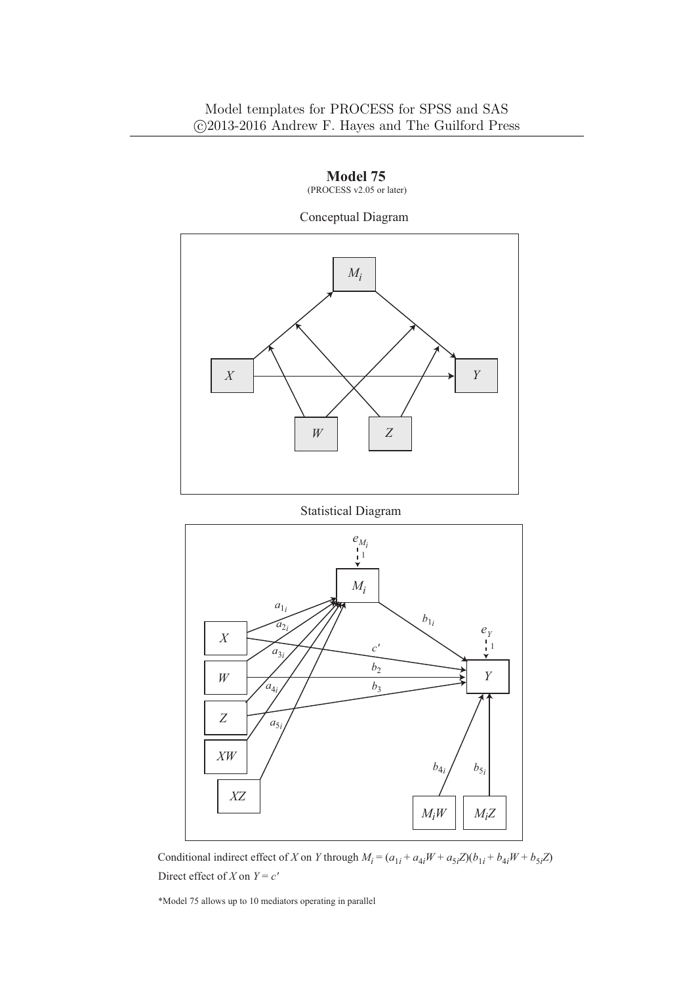

Statistical Diagram



Conditional indirect effect of X on Y through  $M_i = (a_{1i} + a_{4i}W + a_{5i}Z)(b_{1i} + b_{4i}W + b_{5i}Z)$ Direct effect of *X* on  $Y = c'$ 

\*Model 75 allows up to 10 mediators operating in parallel